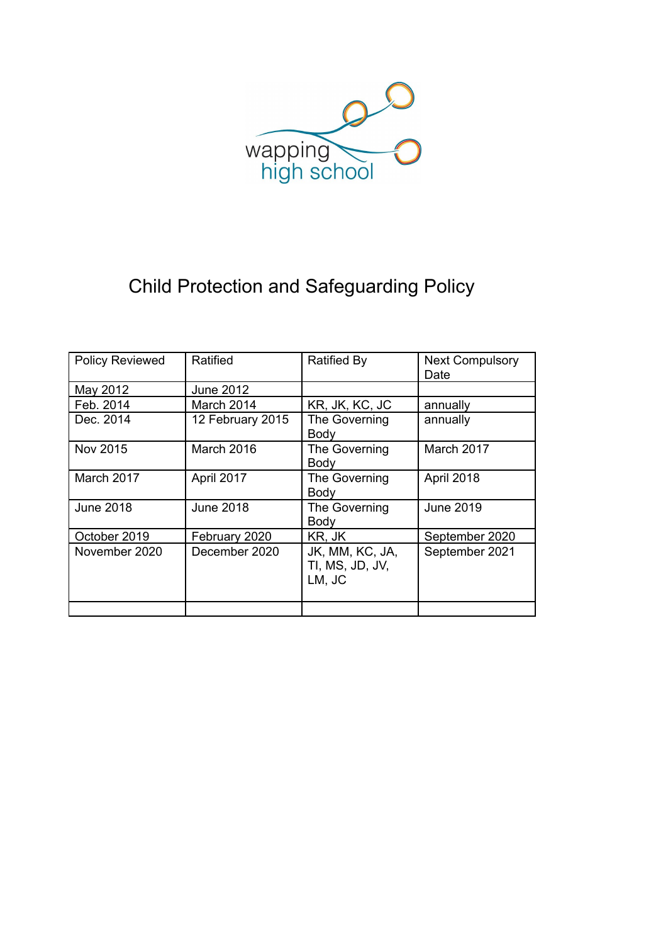

# Child Protection and Safeguarding Policy

| <b>Policy Reviewed</b> | Ratified         | <b>Ratified By</b>                           | <b>Next Compulsory</b><br>Date |
|------------------------|------------------|----------------------------------------------|--------------------------------|
| May 2012               | June 2012        |                                              |                                |
| Feb. 2014              | March 2014       | KR, JK, KC, JC                               | annually                       |
| Dec. 2014              | 12 February 2015 | The Governing<br>Body                        | annually                       |
| Nov 2015               | March 2016       | The Governing<br>Body                        | March 2017                     |
| March 2017             | April 2017       | The Governing<br>Body                        | April 2018                     |
| June 2018              | June 2018        | The Governing<br><b>Body</b>                 | June 2019                      |
| October 2019           | February 2020    | KR, JK                                       | September 2020                 |
| November 2020          | December 2020    | JK, MM, KC, JA,<br>TI, MS, JD, JV,<br>LM, JC | September 2021                 |
|                        |                  |                                              |                                |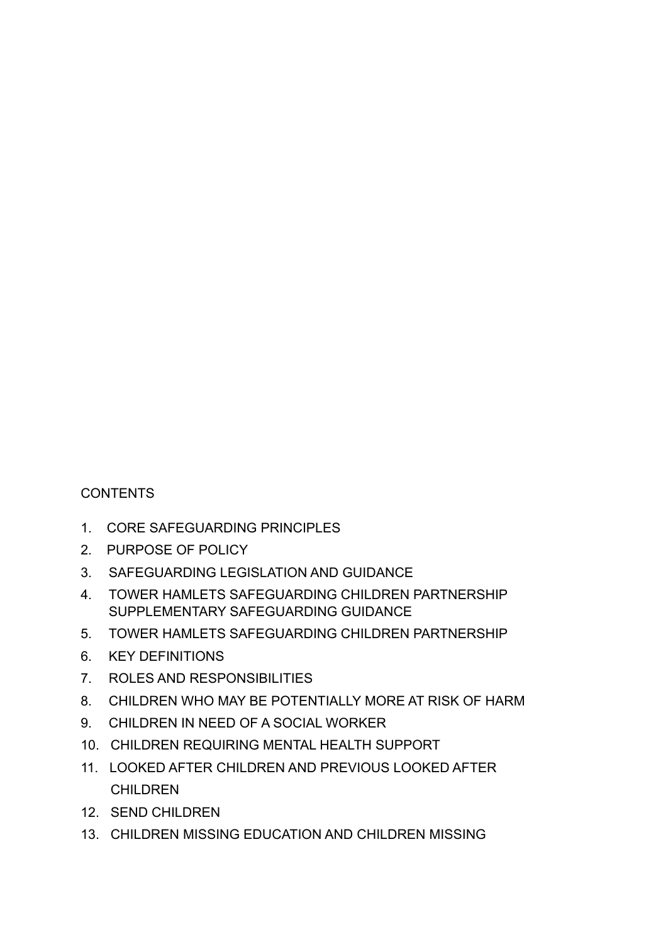# **CONTENTS**

- 1. [CORE SAFEGUARDING PRINCIPLES](#page-3-0)
- [2. PURPOSE OF POLICY](#page-4-0)
- 3. [SAFEGUARDING LEGISLATION AND GUIDANCE](#page-4-1)
- 4. [TOWER HAMLETS SAFEGUARDING CHILDREN PARTNERSHIP](#page-5-0) [SUPPLEMENTARY SAFEGUARDING GUIDANCE](#page-5-0)
- 5. [TOWER HAMLETS SAFEGUARDING CHILDREN PARTNERSHIP](https://docs.google.com/document/d/1M-QXwgbh6m4wmPDovPonsFvZj_FC_YUWm0fV1su4Qtg/edit#heading=h.tyjcwt)
- 6. [KEY DEFINITIONS](https://docs.google.com/document/d/1M-QXwgbh6m4wmPDovPonsFvZj_FC_YUWm0fV1su4Qtg/edit#heading=h.3dy6vkm)
- 7. [ROLES AND RESPONSIBILITIES](https://docs.google.com/document/d/1M-QXwgbh6m4wmPDovPonsFvZj_FC_YUWm0fV1su4Qtg/edit#heading=h.1t3h5sf)
- 8. [CHILDREN WHO MAY BE POTENTIALLY MORE AT RISK OF HARM](https://docs.google.com/document/d/1M-QXwgbh6m4wmPDovPonsFvZj_FC_YUWm0fV1su4Qtg/edit#heading=h.4d34og8)
- 9. [CHILDREN IN NEED OF A SOCIAL WORKER](https://docs.google.com/document/d/1M-QXwgbh6m4wmPDovPonsFvZj_FC_YUWm0fV1su4Qtg/edit#heading=h.2s8eyo1)
- [10. CHILDREN REQUIRING MENTAL HEALTH SUPPORT](https://docs.google.com/document/d/1M-QXwgbh6m4wmPDovPonsFvZj_FC_YUWm0fV1su4Qtg/edit#heading=h.17dp8vu)
- 11. LOOKED AFTER CHILDREN AND PREVIOUS LOOKED AFTER CHILDREN
- [12. SEND CHILDREN](https://docs.google.com/document/d/1M-QXwgbh6m4wmPDovPonsFvZj_FC_YUWm0fV1su4Qtg/edit#heading=h.26in1rg)
- [13. CHILDREN MISSING EDUCATION AND CHILDREN MISSING](https://docs.google.com/document/d/1M-QXwgbh6m4wmPDovPonsFvZj_FC_YUWm0fV1su4Qtg/edit#heading=h.lnxbz9)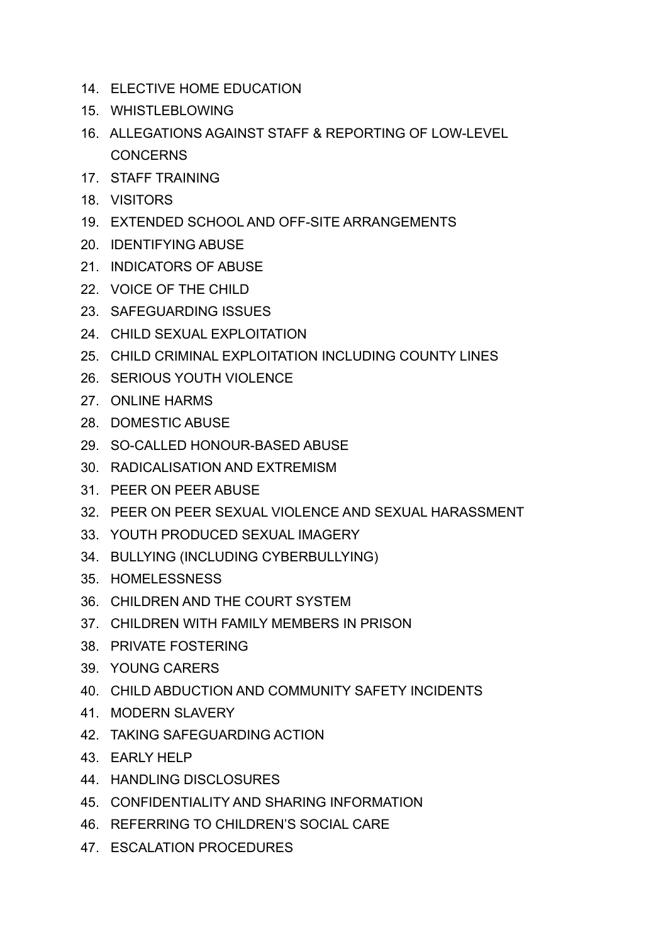- [14. ELECTIVE HOME EDUCATION](https://docs.google.com/document/d/1M-QXwgbh6m4wmPDovPonsFvZj_FC_YUWm0fV1su4Qtg/edit#heading=h.35nkun2)
- 15. WHISTLEBLOWING
- 16. ALLEGATIONS AGAINST STAFF & REPORTING OF LOW-LEVEL **CONCERNS**
- [17. STAFF TRAINING](https://docs.google.com/document/d/1M-QXwgbh6m4wmPDovPonsFvZj_FC_YUWm0fV1su4Qtg/edit#heading=h.2jxsxqh)
- 18. VISITORS
- 19. EXTENDED SCHOOL [AND OFF-SITE ARRANGEMENTS](https://docs.google.com/document/d/1M-QXwgbh6m4wmPDovPonsFvZj_FC_YUWm0fV1su4Qtg/edit#heading=h.3j2qqm3)
- [20. IDENTIFYING ABUSE](https://docs.google.com/document/d/1M-QXwgbh6m4wmPDovPonsFvZj_FC_YUWm0fV1su4Qtg/edit#heading=h.1y810tw)
- [21. INDICATORS OF ABUSE](https://docs.google.com/document/d/1M-QXwgbh6m4wmPDovPonsFvZj_FC_YUWm0fV1su4Qtg/edit#heading=h.4i7ojhp)
- [22. VOICE OF THE CHILD](https://docs.google.com/document/d/1M-QXwgbh6m4wmPDovPonsFvZj_FC_YUWm0fV1su4Qtg/edit#heading=h.2xcytpi)
- [23. SAFEGUARDING ISSUES](https://docs.google.com/document/d/1M-QXwgbh6m4wmPDovPonsFvZj_FC_YUWm0fV1su4Qtg/edit#heading=h.1ci93xb)
- [24. CHILD SEXUAL EXPLOITATION](https://docs.google.com/document/d/1M-QXwgbh6m4wmPDovPonsFvZj_FC_YUWm0fV1su4Qtg/edit#heading=h.3whwml4)
- [25. CHILD CRIMINAL EXPLOITATION INCLUDING COUNTY LINES](https://docs.google.com/document/d/1M-QXwgbh6m4wmPDovPonsFvZj_FC_YUWm0fV1su4Qtg/edit#heading=h.2bn6wsx)
- [26. SERIOUS YOUTH VIOLENCE](https://docs.google.com/document/d/1M-QXwgbh6m4wmPDovPonsFvZj_FC_YUWm0fV1su4Qtg/edit#heading=h.qsh70q)
- [27. ONLINE HARMS](https://docs.google.com/document/d/1M-QXwgbh6m4wmPDovPonsFvZj_FC_YUWm0fV1su4Qtg/edit#heading=h.3as4poj)
- [28. DOMESTIC ABUSE](https://docs.google.com/document/d/1M-QXwgbh6m4wmPDovPonsFvZj_FC_YUWm0fV1su4Qtg/edit#heading=h.1pxezwc)
- [29. SO-CALLED HONOUR-BASED ABUSE](https://docs.google.com/document/d/1M-QXwgbh6m4wmPDovPonsFvZj_FC_YUWm0fV1su4Qtg/edit#heading=h.49x2ik5)
- [30. RADICALISATION AND EXTREMISM](https://docs.google.com/document/d/1M-QXwgbh6m4wmPDovPonsFvZj_FC_YUWm0fV1su4Qtg/edit#heading=h.2p2csry)
- [31. PEER ON PEER ABUSE](https://docs.google.com/document/d/1M-QXwgbh6m4wmPDovPonsFvZj_FC_YUWm0fV1su4Qtg/edit#heading=h.147n2zr)
- [32. PEER ON PEER SEXUAL VIOLENCE AND SEXUAL HARASSMENT](https://docs.google.com/document/d/1M-QXwgbh6m4wmPDovPonsFvZj_FC_YUWm0fV1su4Qtg/edit#heading=h.3o7alnk)
- [33. YOUTH PRODUCED SEXUAL IMAGERY](https://docs.google.com/document/d/1M-QXwgbh6m4wmPDovPonsFvZj_FC_YUWm0fV1su4Qtg/edit#heading=h.23ckvvd)
- [34. BULLYING \(INCLUDING CYBERBULLYING\)](https://docs.google.com/document/d/1M-QXwgbh6m4wmPDovPonsFvZj_FC_YUWm0fV1su4Qtg/edit#heading=h.ihv636)
- [35. HOMELESSNESS](https://docs.google.com/document/d/1M-QXwgbh6m4wmPDovPonsFvZj_FC_YUWm0fV1su4Qtg/edit#heading=h.32hioqz)
- [36. CHILDREN AND THE COURT SYSTEM](https://docs.google.com/document/d/1M-QXwgbh6m4wmPDovPonsFvZj_FC_YUWm0fV1su4Qtg/edit#heading=h.1hmsyys)
- [37. CHILDREN WITH FAMILY MEMBERS IN PRISON](https://docs.google.com/document/d/1M-QXwgbh6m4wmPDovPonsFvZj_FC_YUWm0fV1su4Qtg/edit#heading=h.41mghml)
- [38. PRIVATE FOSTERING](https://docs.google.com/document/d/1M-QXwgbh6m4wmPDovPonsFvZj_FC_YUWm0fV1su4Qtg/edit#heading=h.2grqrue)
- [39. YOUNG CARERS](https://docs.google.com/document/d/1M-QXwgbh6m4wmPDovPonsFvZj_FC_YUWm0fV1su4Qtg/edit#heading=h.vx1227)
- [40. CHILD ABDUCTION AND COMMUNITY SAFETY INCIDENTS](https://docs.google.com/document/d/1M-QXwgbh6m4wmPDovPonsFvZj_FC_YUWm0fV1su4Qtg/edit#heading=h.3fwokq0)
- [41. MODERN SLAVERY](https://docs.google.com/document/d/1M-QXwgbh6m4wmPDovPonsFvZj_FC_YUWm0fV1su4Qtg/edit#heading=h.1v1yuxt)
- [42. TAKING SAFEGUARDING ACTION](https://docs.google.com/document/d/1M-QXwgbh6m4wmPDovPonsFvZj_FC_YUWm0fV1su4Qtg/edit#heading=h.2u6wntf)
- [43. EARLY HELP](https://docs.google.com/document/d/1M-QXwgbh6m4wmPDovPonsFvZj_FC_YUWm0fV1su4Qtg/edit#heading=h.19c6y18)
- [44. HANDLING DISCLOSURES](https://docs.google.com/document/d/1M-QXwgbh6m4wmPDovPonsFvZj_FC_YUWm0fV1su4Qtg/edit#heading=h.3tbugp1)
- 45. CONFIDENTIALITY [AND SHARING INFORMATION](https://docs.google.com/document/d/1M-QXwgbh6m4wmPDovPonsFvZj_FC_YUWm0fV1su4Qtg/edit#heading=h.28h4qwu)
- [46. REFERRING TO CHILDREN'S SOCIAL CARE](https://docs.google.com/document/d/1M-QXwgbh6m4wmPDovPonsFvZj_FC_YUWm0fV1su4Qtg/edit#heading=h.nmf14n)
- [47. ESCALATION PROCEDURES](https://docs.google.com/document/d/1M-QXwgbh6m4wmPDovPonsFvZj_FC_YUWm0fV1su4Qtg/edit#heading=h.37m2jsg)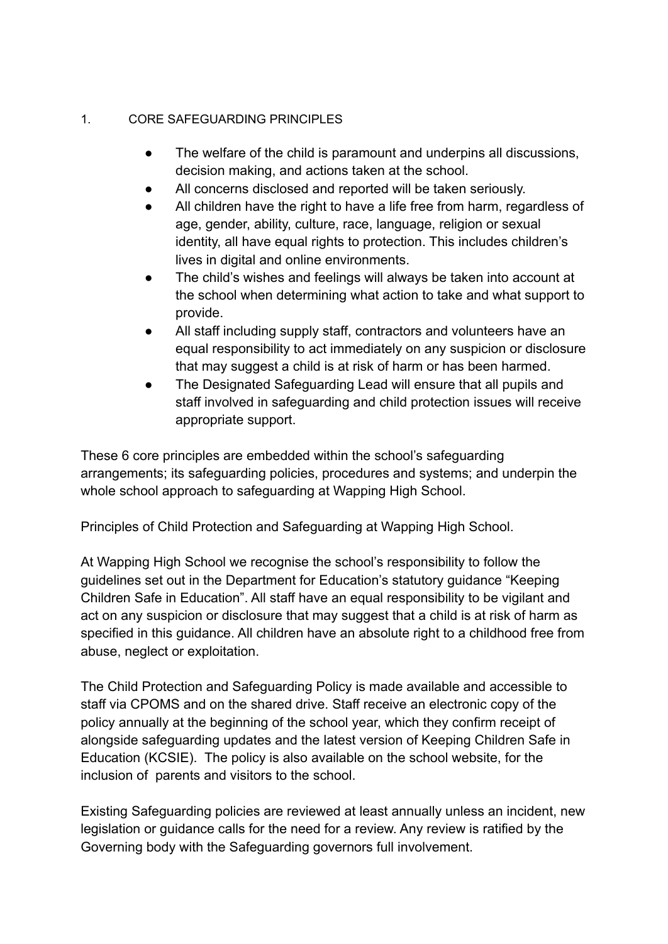# <span id="page-3-0"></span>1. CORE SAFEGUARDING PRINCIPLES

- The welfare of the child is paramount and underpins all discussions, decision making, and actions taken at the school.
- All concerns disclosed and reported will be taken seriously.
- All children have the right to have a life free from harm, regardless of age, gender, ability, culture, race, language, religion or sexual identity, all have equal rights to protection. This includes children's lives in digital and online environments.
- The child's wishes and feelings will always be taken into account at the school when determining what action to take and what support to provide.
- All staff including supply staff, contractors and volunteers have an equal responsibility to act immediately on any suspicion or disclosure that may suggest a child is at risk of harm or has been harmed.
- The Designated Safeguarding Lead will ensure that all pupils and staff involved in safeguarding and child protection issues will receive appropriate support.

These 6 core principles are embedded within the school's safeguarding arrangements; its safeguarding policies, procedures and systems; and underpin the whole school approach to safeguarding at Wapping High School.

Principles of Child Protection and Safeguarding at Wapping High School.

At Wapping High School we recognise the school's responsibility to follow the guidelines set out in the Department for Education's statutory guidance "Keeping Children Safe in Education". All staff have an equal responsibility to be vigilant and act on any suspicion or disclosure that may suggest that a child is at risk of harm as specified in this guidance. All children have an absolute right to a childhood free from abuse, neglect or exploitation.

The Child Protection and Safeguarding Policy is made available and accessible to staff via CPOMS and on the shared drive. Staff receive an electronic copy of the policy annually at the beginning of the school year, which they confirm receipt of alongside safeguarding updates and the latest version of Keeping Children Safe in Education (KCSIE). The policy is also available on the school website, for the inclusion of parents and visitors to the school.

Existing Safeguarding policies are reviewed at least annually unless an incident, new legislation or guidance calls for the need for a review. Any review is ratified by the Governing body with the Safeguarding governors full involvement.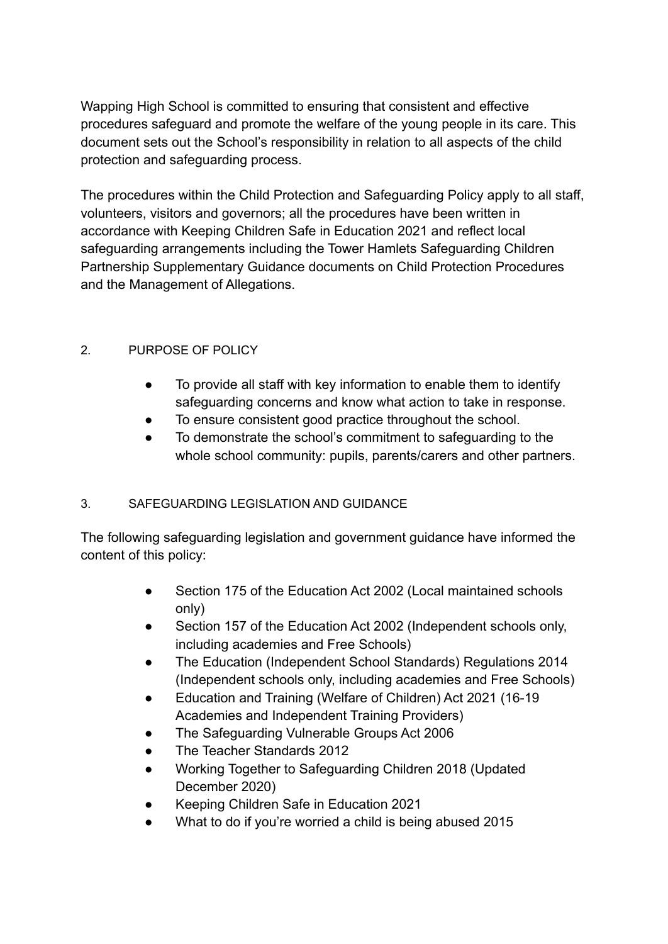Wapping High School is committed to ensuring that consistent and effective procedures safeguard and promote the welfare of the young people in its care. This document sets out the School's responsibility in relation to all aspects of the child protection and safeguarding process.

The procedures within the Child Protection and Safeguarding Policy apply to all staff, volunteers, visitors and governors; all the procedures have been written in accordance with Keeping Children Safe in Education 2021 and reflect local safeguarding arrangements including the Tower Hamlets Safeguarding Children Partnership Supplementary Guidance documents on Child Protection Procedures and the Management of Allegations.

# <span id="page-4-0"></span>2. PURPOSE OF POLICY

- To provide all staff with key information to enable them to identify safeguarding concerns and know what action to take in response.
- To ensure consistent good practice throughout the school.
- To demonstrate the school's commitment to safeguarding to the whole school community: pupils, parents/carers and other partners.

# <span id="page-4-1"></span>3. SAFEGUARDING LEGISLATION AND GUIDANCE

The following safeguarding legislation and government guidance have informed the content of this policy:

- Section 175 of the Education Act 2002 (Local maintained schools only)
- Section 157 of the Education Act 2002 (Independent schools only, including academies and Free Schools)
- The Education (Independent School Standards) Regulations 2014 (Independent schools only, including academies and Free Schools)
- Education and Training (Welfare of Children) Act 2021 (16-19 Academies and Independent Training Providers)
- The Safeguarding Vulnerable Groups Act 2006
- The Teacher Standards 2012
- Working Together to Safeguarding Children 2018 (Updated December 2020)
- Keeping Children Safe in Education 2021
- What to do if you're worried a child is being abused 2015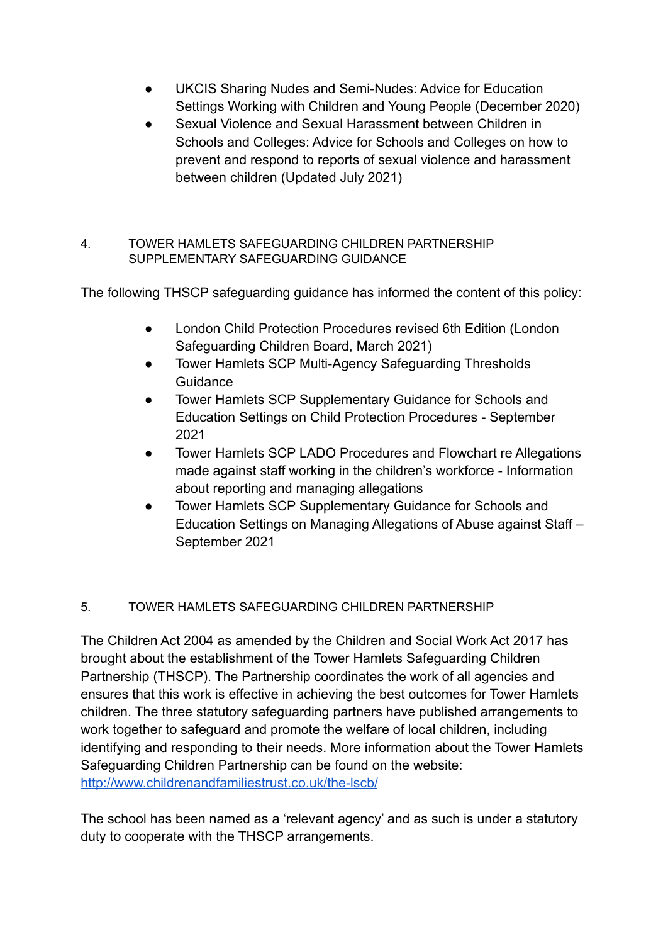- UKCIS Sharing Nudes and Semi-Nudes: Advice for Education Settings Working with Children and Young People (December 2020)
- Sexual Violence and Sexual Harassment between Children in Schools and Colleges: Advice for Schools and Colleges on how to prevent and respond to reports of sexual violence and harassment between children (Updated July 2021)

### <span id="page-5-0"></span>4. TOWER HAMLETS SAFEGUARDING CHILDREN PARTNERSHIP SUPPLEMENTARY SAFEGUARDING GUIDANCE

The following THSCP safeguarding guidance has informed the content of this policy:

- London Child Protection Procedures revised 6th Edition (London Safeguarding Children Board, March 2021)
- Tower Hamlets SCP Multi-Agency Safeguarding Thresholds **Guidance**
- Tower Hamlets SCP Supplementary Guidance for Schools and Education Settings on Child Protection Procedures - September 2021
- Tower Hamlets SCP LADO Procedures and Flowchart re Allegations made against staff working in the children's workforce - Information about reporting and managing allegations
- Tower Hamlets SCP Supplementary Guidance for Schools and Education Settings on Managing Allegations of Abuse against Staff – September 2021

# 5. TOWER HAMLETS SAFEGUARDING CHILDREN PARTNERSHIP

The Children Act 2004 as amended by the Children and Social Work Act 2017 has brought about the establishment of the Tower Hamlets Safeguarding Children Partnership (THSCP). The Partnership coordinates the work of all agencies and ensures that this work is effective in achieving the best outcomes for Tower Hamlets children. The three statutory safeguarding partners have published arrangements to work together to safeguard and promote the welfare of local children, including identifying and responding to their needs. More information about the Tower Hamlets Safeguarding Children Partnership can be found on the website: <http://www.childrenandfamiliestrust.co.uk/the-lscb/>

The school has been named as a 'relevant agency' and as such is under a statutory duty to cooperate with the THSCP arrangements.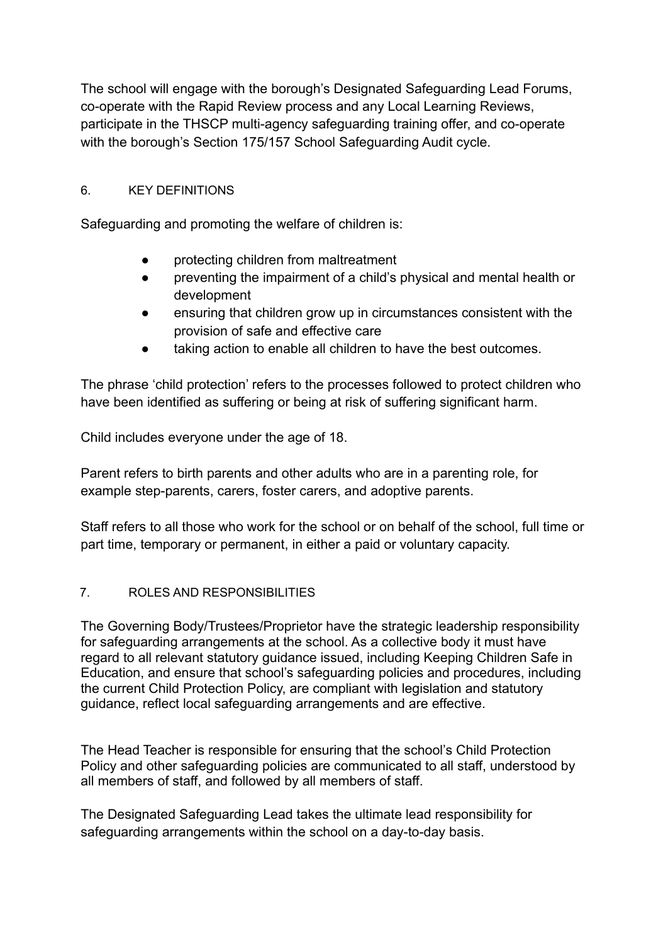The school will engage with the borough's Designated Safeguarding Lead Forums, co-operate with the Rapid Review process and any Local Learning Reviews, participate in the THSCP multi-agency safeguarding training offer, and co-operate with the borough's Section 175/157 School Safeguarding Audit cycle.

# 6. KEY DEFINITIONS

Safeguarding and promoting the welfare of children is:

- protecting children from maltreatment
- preventing the impairment of a child's physical and mental health or development
- ensuring that children grow up in circumstances consistent with the provision of safe and effective care
- taking action to enable all children to have the best outcomes.

The phrase 'child protection' refers to the processes followed to protect children who have been identified as suffering or being at risk of suffering significant harm.

Child includes everyone under the age of 18.

Parent refers to birth parents and other adults who are in a parenting role, for example step-parents, carers, foster carers, and adoptive parents.

Staff refers to all those who work for the school or on behalf of the school, full time or part time, temporary or permanent, in either a paid or voluntary capacity.

# 7. ROLES AND RESPONSIBILITIES

The Governing Body/Trustees/Proprietor have the strategic leadership responsibility for safeguarding arrangements at the school. As a collective body it must have regard to all relevant statutory guidance issued, including Keeping Children Safe in Education, and ensure that school's safeguarding policies and procedures, including the current Child Protection Policy, are compliant with legislation and statutory guidance, reflect local safeguarding arrangements and are effective.

The Head Teacher is responsible for ensuring that the school's Child Protection Policy and other safeguarding policies are communicated to all staff, understood by all members of staff, and followed by all members of staff.

The Designated Safeguarding Lead takes the ultimate lead responsibility for safeguarding arrangements within the school on a day-to-day basis.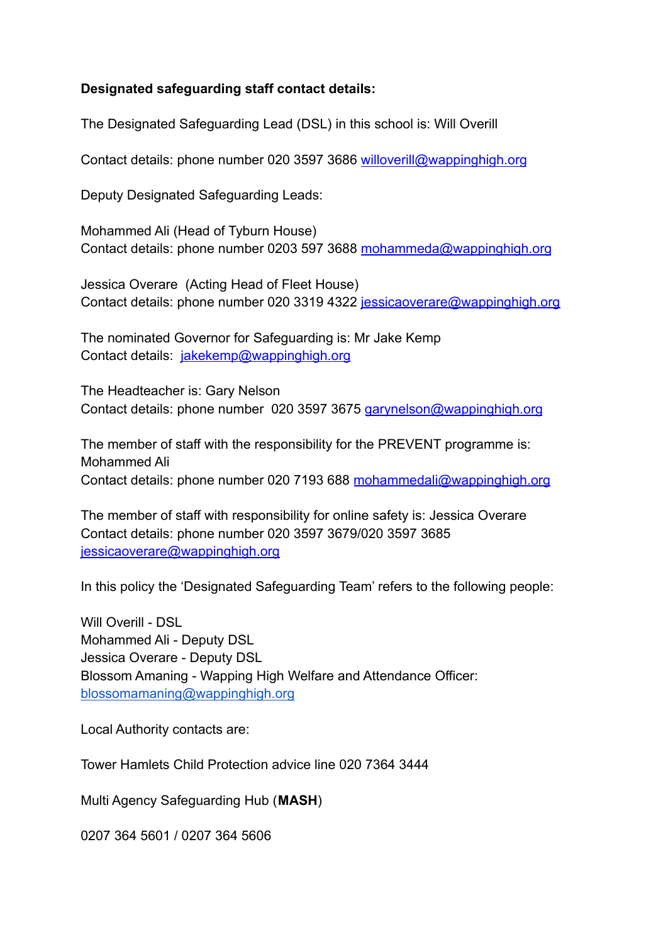# **Designated safeguarding staff contact details:**

The Designated Safeguarding Lead (DSL) in this school is: Will Overill

Contact details: phone number 020 3597 3686 [willoverill@wappinghigh.org](mailto:willoverill@wappinghigh.org)

Deputy Designated Safeguarding Leads:

Mohammed Ali (Head of Tyburn House) Contact details: phone number 0203 597 3688 [mohammeda@wappinghigh.org](mailto:mohammeda@wappinghigh.org)

Jessica Overare (Acting Head of Fleet House) Contact details: phone number 020 3319 4322 [jessicaoverare@wappinghigh.org](mailto:jessicaoverare@wappinghigh.org)

The nominated Governor for Safeguarding is: Mr Jake Kemp Contact details: [jakekemp@wappinghigh.org](mailto:jakekemp@wappinghigh.org)

The Headteacher is: Gary Nelson Contact details: phone number 020 3597 3675 [garynelson@wappinghigh.org](mailto:garynelson@wappinghigh.org)

The member of staff with the responsibility for the PREVENT programme is: Mohammed Ali Contact details: phone number 020 7193 688 [mohammedali@wappinghigh.org](mailto:mohammedali@wappinghigh.org)

The member of staff with responsibility for online safety is: Jessica Overare Contact details: phone number 020 3597 3679/020 3597 3685 [jessicaoverare@wappinghigh.org](mailto:jessicaoverare@wappinghigh.org)

In this policy the 'Designated Safeguarding Team' refers to the following people:

Will Overill - DSL Mohammed Ali - Deputy DSL Jessica Overare - Deputy DSL Blossom Amaning - Wapping High Welfare and Attendance Officer: [blossomamaning@wappinghigh.org](mailto:blossomamaning@wappinghigh.org)

Local Authority contacts are:

Tower Hamlets Child Protection advice line 020 7364 3444

Multi Agency Safeguarding Hub (**MASH**)

0207 364 5601 / 0207 364 5606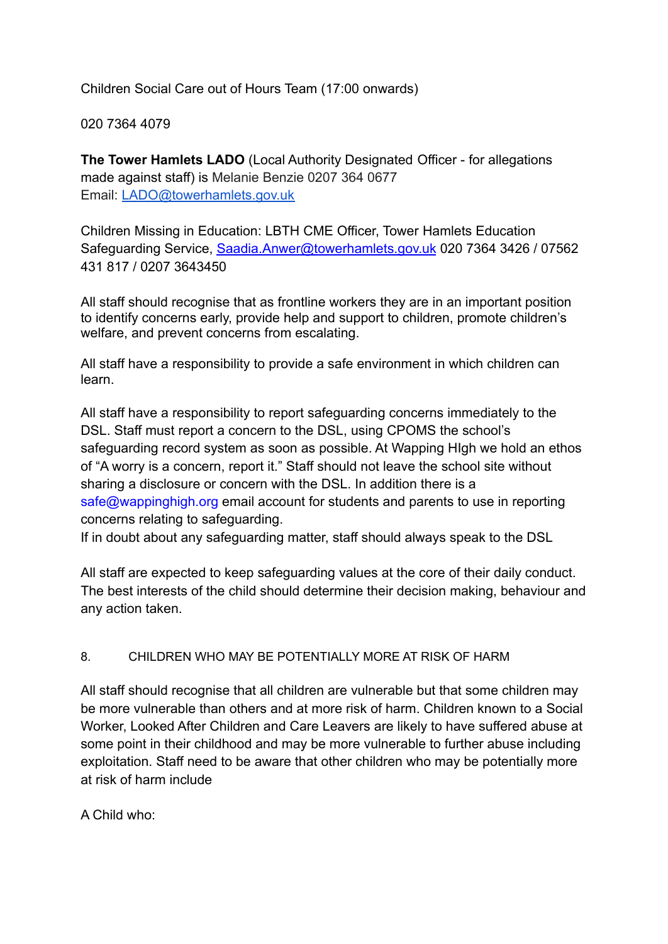Children Social Care out of Hours Team (17:00 onwards)

020 7364 4079

**The Tower Hamlets LADO** (Local Authority Designated Officer - for allegations made against staff) is Melanie Benzie 0207 364 0677 Email: [LADO@towerhamlets.gov.uk](mailto:LADO@towerhamlets.gov.uk)

Children Missing in Education: LBTH CME Officer, Tower Hamlets Education Safeguarding Service, [Saadia.Anwer@towerhamlets.gov.uk](mailto:Saadia.Anwer@towerhamlets.gov.uk) 020 7364 3426 / 07562 431 817 / 0207 3643450

All staff should recognise that as frontline workers they are in an important position to identify concerns early, provide help and support to children, promote children's welfare, and prevent concerns from escalating.

All staff have a responsibility to provide a safe environment in which children can learn.

All staff have a responsibility to report safeguarding concerns immediately to the DSL. Staff must report a concern to the DSL, using CPOMS the school's safeguarding record system as soon as possible. At Wapping HIgh we hold an ethos of "A worry is a concern, report it." Staff should not leave the school site without sharing a disclosure or concern with the DSL. In addition there is a [safe@wappinghigh.or](mailto:safe@wappinghigh.org)g email account for students and parents to use in reporting concerns relating to safeguarding.

If in doubt about any safeguarding matter, staff should always speak to the DSL

All staff are expected to keep safeguarding values at the core of their daily conduct. The best interests of the child should determine their decision making, behaviour and any action taken.

# 8. CHILDREN WHO MAY BE POTENTIALLY MORE AT RISK OF HARM

All staff should recognise that all children are vulnerable but that some children may be more vulnerable than others and at more risk of harm. Children known to a Social Worker, Looked After Children and Care Leavers are likely to have suffered abuse at some point in their childhood and may be more vulnerable to further abuse including exploitation. Staff need to be aware that other children who may be potentially more at risk of harm include

A Child who: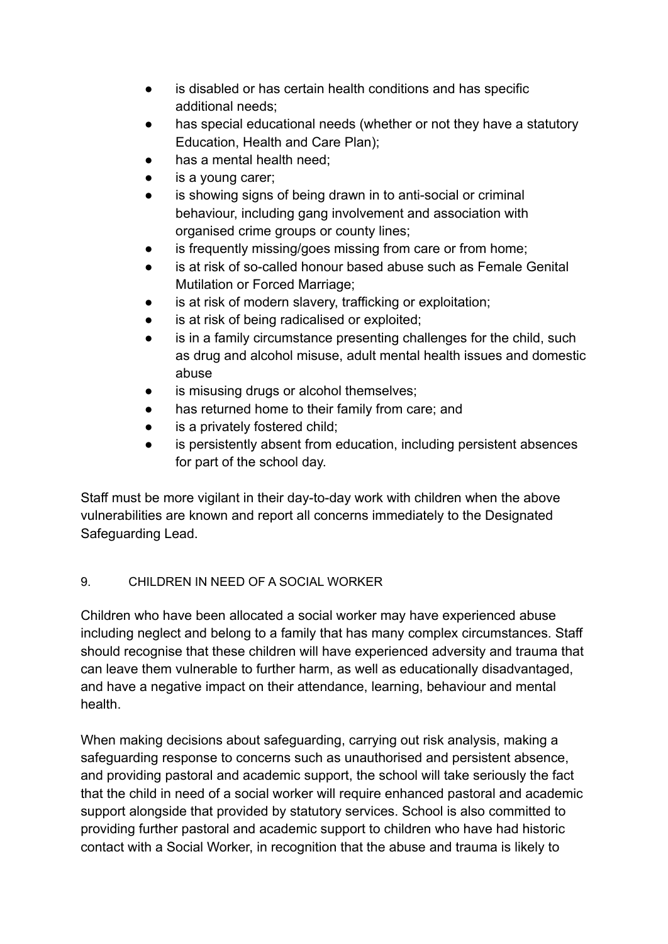- is disabled or has certain health conditions and has specific additional needs;
- has special educational needs (whether or not they have a statutory Education, Health and Care Plan);
- has a mental health need;
- is a young carer;
- is showing signs of being drawn in to anti-social or criminal behaviour, including gang involvement and association with organised crime groups or county lines;
- is frequently missing/goes missing from care or from home;
- is at risk of so-called honour based abuse such as Female Genital Mutilation or Forced Marriage;
- is at risk of modern slavery, trafficking or exploitation;
- is at risk of being radicalised or exploited;
- is in a family circumstance presenting challenges for the child, such as drug and alcohol misuse, adult mental health issues and domestic abuse
- is misusing drugs or alcohol themselves;
- has returned home to their family from care; and
- is a privately fostered child;
- is persistently absent from education, including persistent absences for part of the school day.

Staff must be more vigilant in their day-to-day work with children when the above vulnerabilities are known and report all concerns immediately to the Designated Safeguarding Lead.

# 9. CHILDREN IN NEED OF A SOCIAL WORKER

Children who have been allocated a social worker may have experienced abuse including neglect and belong to a family that has many complex circumstances. Staff should recognise that these children will have experienced adversity and trauma that can leave them vulnerable to further harm, as well as educationally disadvantaged, and have a negative impact on their attendance, learning, behaviour and mental health.

When making decisions about safeguarding, carrying out risk analysis, making a safeguarding response to concerns such as unauthorised and persistent absence, and providing pastoral and academic support, the school will take seriously the fact that the child in need of a social worker will require enhanced pastoral and academic support alongside that provided by statutory services. School is also committed to providing further pastoral and academic support to children who have had historic contact with a Social Worker, in recognition that the abuse and trauma is likely to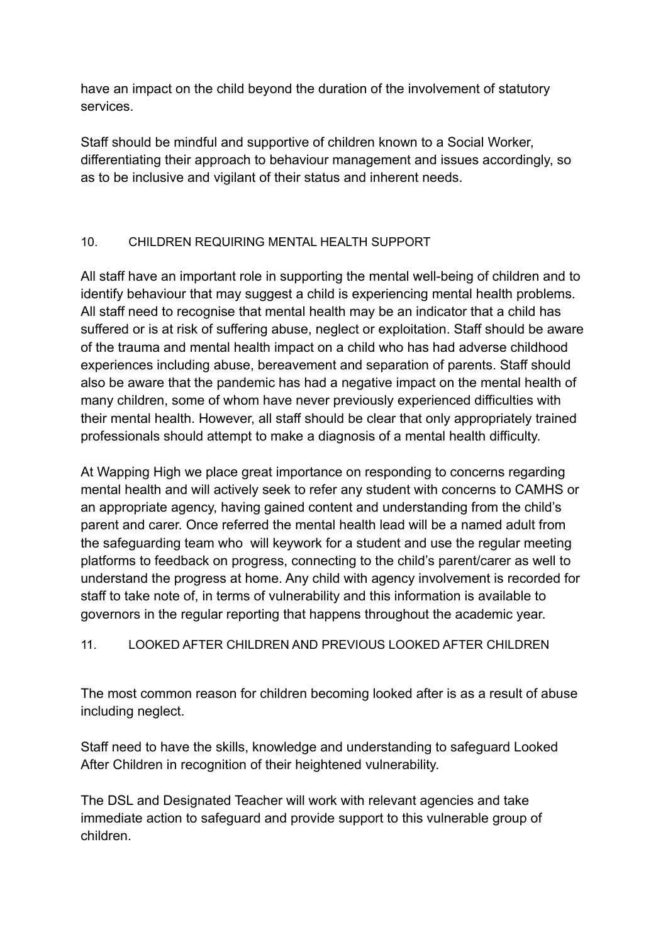have an impact on the child beyond the duration of the involvement of statutory services.

Staff should be mindful and supportive of children known to a Social Worker, differentiating their approach to behaviour management and issues accordingly, so as to be inclusive and vigilant of their status and inherent needs.

# 10. CHILDREN REQUIRING MENTAL HEALTH SUPPORT

All staff have an important role in supporting the mental well-being of children and to identify behaviour that may suggest a child is experiencing mental health problems. All staff need to recognise that mental health may be an indicator that a child has suffered or is at risk of suffering abuse, neglect or exploitation. Staff should be aware of the trauma and mental health impact on a child who has had adverse childhood experiences including abuse, bereavement and separation of parents. Staff should also be aware that the pandemic has had a negative impact on the mental health of many children, some of whom have never previously experienced difficulties with their mental health. However, all staff should be clear that only appropriately trained professionals should attempt to make a diagnosis of a mental health difficulty.

At Wapping High we place great importance on responding to concerns regarding mental health and will actively seek to refer any student with concerns to CAMHS or an appropriate agency, having gained content and understanding from the child's parent and carer. Once referred the mental health lead will be a named adult from the safeguarding team who will keywork for a student and use the regular meeting platforms to feedback on progress, connecting to the child's parent/carer as well to understand the progress at home. Any child with agency involvement is recorded for staff to take note of, in terms of vulnerability and this information is available to governors in the regular reporting that happens throughout the academic year.

# 11. LOOKED AFTER CHILDREN AND PREVIOUS LOOKED AFTER CHILDREN

The most common reason for children becoming looked after is as a result of abuse including neglect.

Staff need to have the skills, knowledge and understanding to safeguard Looked After Children in recognition of their heightened vulnerability.

The DSL and Designated Teacher will work with relevant agencies and take immediate action to safeguard and provide support to this vulnerable group of children.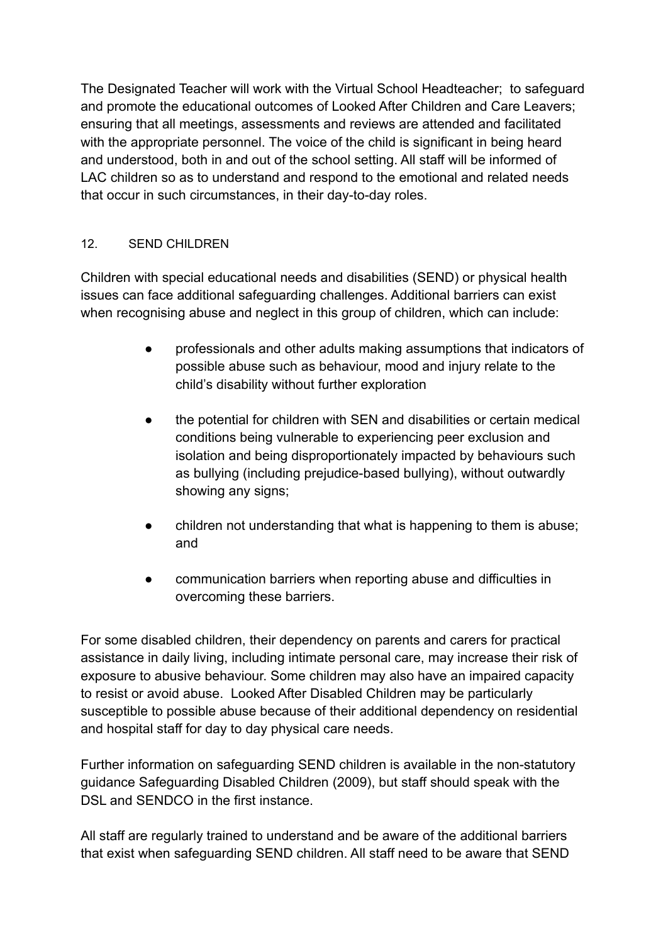The Designated Teacher will work with the Virtual School Headteacher; to safeguard and promote the educational outcomes of Looked After Children and Care Leavers; ensuring that all meetings, assessments and reviews are attended and facilitated with the appropriate personnel. The voice of the child is significant in being heard and understood, both in and out of the school setting. All staff will be informed of LAC children so as to understand and respond to the emotional and related needs that occur in such circumstances, in their day-to-day roles.

# 12. SEND CHILDREN

Children with special educational needs and disabilities (SEND) or physical health issues can face additional safeguarding challenges. Additional barriers can exist when recognising abuse and neglect in this group of children, which can include:

- professionals and other adults making assumptions that indicators of possible abuse such as behaviour, mood and injury relate to the child's disability without further exploration
- the potential for children with SEN and disabilities or certain medical conditions being vulnerable to experiencing peer exclusion and isolation and being disproportionately impacted by behaviours such as bullying (including prejudice-based bullying), without outwardly showing any signs;
- children not understanding that what is happening to them is abuse; and
- communication barriers when reporting abuse and difficulties in overcoming these barriers.

For some disabled children, their dependency on parents and carers for practical assistance in daily living, including intimate personal care, may increase their risk of exposure to abusive behaviour. Some children may also have an impaired capacity to resist or avoid abuse. Looked After Disabled Children may be particularly susceptible to possible abuse because of their additional dependency on residential and hospital staff for day to day physical care needs.

Further information on safeguarding SEND children is available in the non-statutory guidance Safeguarding Disabled Children (2009), but staff should speak with the DSL and SENDCO in the first instance.

All staff are regularly trained to understand and be aware of the additional barriers that exist when safeguarding SEND children. All staff need to be aware that SEND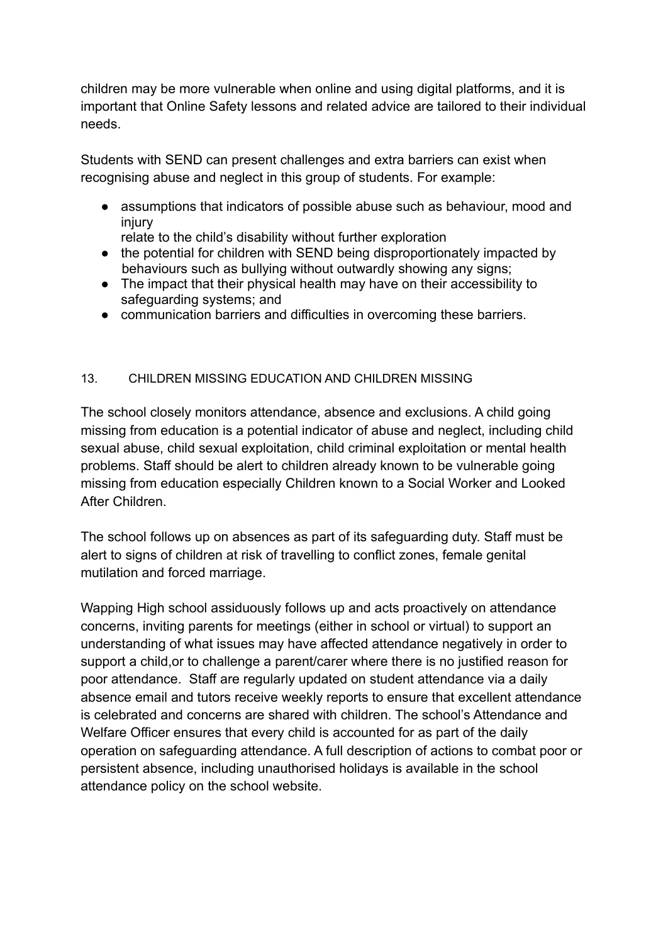children may be more vulnerable when online and using digital platforms, and it is important that Online Safety lessons and related advice are tailored to their individual needs.

Students with SEND can present challenges and extra barriers can exist when recognising abuse and neglect in this group of students. For example:

- assumptions that indicators of possible abuse such as behaviour, mood and injury
	- relate to the child's disability without further exploration
- the potential for children with SEND being disproportionately impacted by behaviours such as bullying without outwardly showing any signs;
- The impact that their physical health may have on their accessibility to safeguarding systems; and
- communication barriers and difficulties in overcoming these barriers.

# 13. CHILDREN MISSING EDUCATION AND CHILDREN MISSING

The school closely monitors attendance, absence and exclusions. A child going missing from education is a potential indicator of abuse and neglect, including child sexual abuse, child sexual exploitation, child criminal exploitation or mental health problems. Staff should be alert to children already known to be vulnerable going missing from education especially Children known to a Social Worker and Looked After Children.

The school follows up on absences as part of its safeguarding duty. Staff must be alert to signs of children at risk of travelling to conflict zones, female genital mutilation and forced marriage.

Wapping High school assiduously follows up and acts proactively on attendance concerns, inviting parents for meetings (either in school or virtual) to support an understanding of what issues may have affected attendance negatively in order to support a child,or to challenge a parent/carer where there is no justified reason for poor attendance. Staff are regularly updated on student attendance via a daily absence email and tutors receive weekly reports to ensure that excellent attendance is celebrated and concerns are shared with children. The school's Attendance and Welfare Officer ensures that every child is accounted for as part of the daily operation on safeguarding attendance. A full description of actions to combat poor or persistent absence, including unauthorised holidays is available in the school attendance policy on the school website.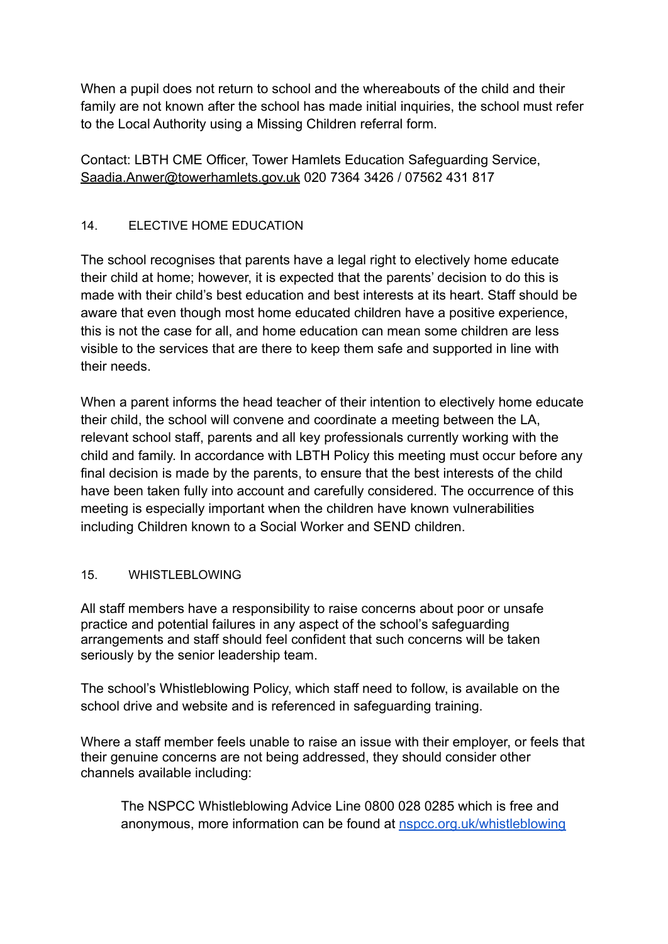When a pupil does not return to school and the whereabouts of the child and their family are not known after the school has made initial inquiries, the school must refer to the Local Authority using a Missing Children referral form.

Contact: LBTH CME Officer, Tower Hamlets Education Safeguarding Service, [Saadia.Anwer@towerhamlets.gov.uk](mailto:Saadia.Anwer@towerhamlets.gov.uk) 020 7364 3426 / 07562 431 817

# 14. ELECTIVE HOME EDUCATION

The school recognises that parents have a legal right to electively home educate their child at home; however, it is expected that the parents' decision to do this is made with their child's best education and best interests at its heart. Staff should be aware that even though most home educated children have a positive experience, this is not the case for all, and home education can mean some children are less visible to the services that are there to keep them safe and supported in line with their needs.

When a parent informs the head teacher of their intention to electively home educate their child, the school will convene and coordinate a meeting between the LA, relevant school staff, parents and all key professionals currently working with the child and family. In accordance with LBTH Policy this meeting must occur before any final decision is made by the parents, to ensure that the best interests of the child have been taken fully into account and carefully considered. The occurrence of this meeting is especially important when the children have known vulnerabilities including Children known to a Social Worker and SEND children.

# 15. WHISTLEBLOWING

All staff members have a responsibility to raise concerns about poor or unsafe practice and potential failures in any aspect of the school's safeguarding arrangements and staff should feel confident that such concerns will be taken seriously by the senior leadership team.

The school's Whistleblowing Policy, which staff need to follow, is available on the school drive and website and is referenced in safeguarding training.

Where a staff member feels unable to raise an issue with their employer, or feels that their genuine concerns are not being addressed, they should consider other channels available including:

The NSPCC Whistleblowing Advice Line 0800 028 0285 which is free and anonymous, more information can be found at [nspcc.org.uk/whistleblowing](http://nspcc.org.uk/whistleblowing)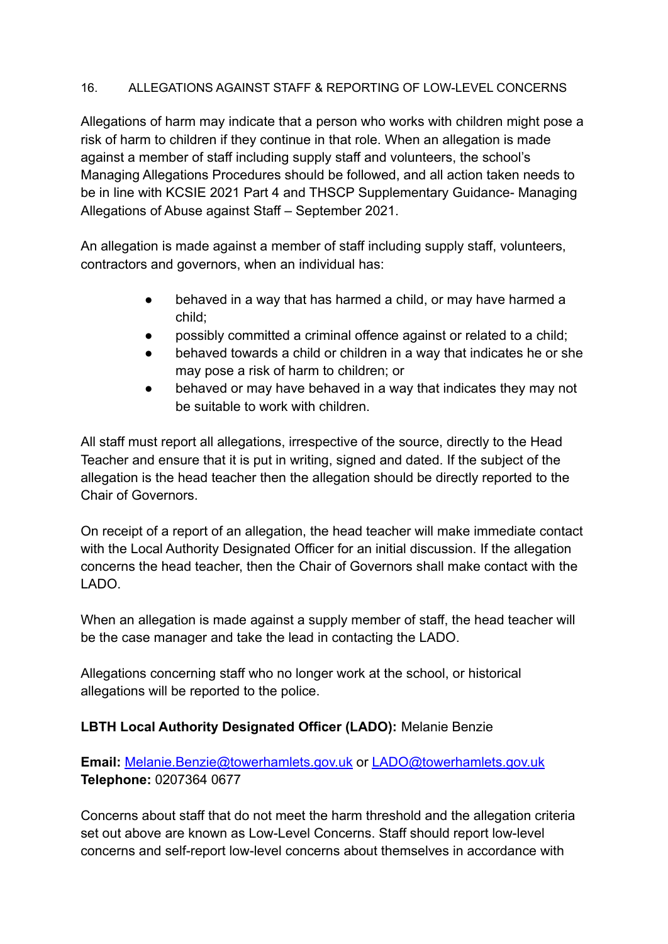### 16. ALLEGATIONS AGAINST STAFF & REPORTING OF LOW-LEVEL CONCERNS

Allegations of harm may indicate that a person who works with children might pose a risk of harm to children if they continue in that role. When an allegation is made against a member of staff including supply staff and volunteers, the school's Managing Allegations Procedures should be followed, and all action taken needs to be in line with KCSIE 2021 Part 4 and THSCP Supplementary Guidance- Managing Allegations of Abuse against Staff – September 2021.

An allegation is made against a member of staff including supply staff, volunteers, contractors and governors, when an individual has:

- behaved in a way that has harmed a child, or may have harmed a child;
- possibly committed a criminal offence against or related to a child;
- behaved towards a child or children in a way that indicates he or she may pose a risk of harm to children; or
- behaved or may have behaved in a way that indicates they may not be suitable to work with children.

All staff must report all allegations, irrespective of the source, directly to the Head Teacher and ensure that it is put in writing, signed and dated. If the subject of the allegation is the head teacher then the allegation should be directly reported to the Chair of Governors.

On receipt of a report of an allegation, the head teacher will make immediate contact with the Local Authority Designated Officer for an initial discussion. If the allegation concerns the head teacher, then the Chair of Governors shall make contact with the LADO.

When an allegation is made against a supply member of staff, the head teacher will be the case manager and take the lead in contacting the LADO.

Allegations concerning staff who no longer work at the school, or historical allegations will be reported to the police.

# **LBTH Local Authority Designated Officer (LADO):** Melanie Benzie

**Email:** [Melanie.Benzie@towerhamlets.gov.uk](mailto:Melanie.Benzie@towerhamlets.gov.uk) or [LADO@towerhamlets.gov.uk](mailto:LADO@towerhamlets.gov.uk) **Telephone:** 0207364 0677

Concerns about staff that do not meet the harm threshold and the allegation criteria set out above are known as Low-Level Concerns. Staff should report low-level concerns and self-report low-level concerns about themselves in accordance with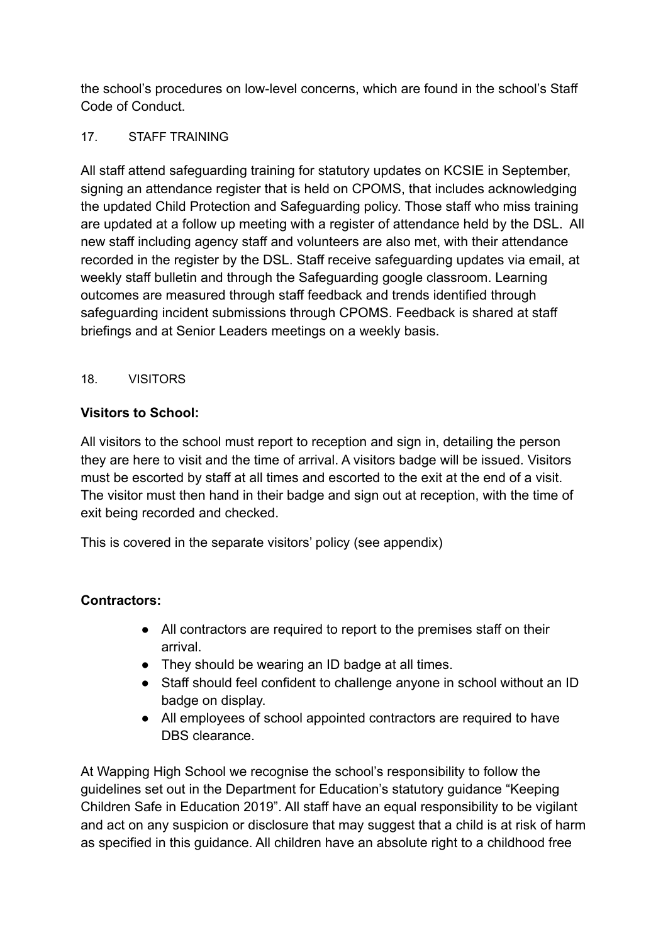the school's procedures on low-level concerns, which are found in the school's Staff Code of Conduct.

# 17. STAFF TRAINING

All staff attend safeguarding training for statutory updates on KCSIE in September, signing an attendance register that is held on CPOMS, that includes acknowledging the updated Child Protection and Safeguarding policy. Those staff who miss training are updated at a follow up meeting with a register of attendance held by the DSL. All new staff including agency staff and volunteers are also met, with their attendance recorded in the register by the DSL. Staff receive safeguarding updates via email, at weekly staff bulletin and through the Safeguarding google classroom. Learning outcomes are measured through staff feedback and trends identified through safeguarding incident submissions through CPOMS. Feedback is shared at staff briefings and at Senior Leaders meetings on a weekly basis.

# 18. VISITORS

# **Visitors to School:**

All visitors to the school must report to reception and sign in, detailing the person they are here to visit and the time of arrival. A visitors badge will be issued. Visitors must be escorted by staff at all times and escorted to the exit at the end of a visit. The visitor must then hand in their badge and sign out at reception, with the time of exit being recorded and checked.

This is covered in the separate visitors' policy (see appendix)

# **Contractors:**

- All contractors are required to report to the premises staff on their arrival.
- They should be wearing an ID badge at all times.
- Staff should feel confident to challenge anyone in school without an ID badge on display.
- All employees of school appointed contractors are required to have DBS clearance.

At Wapping High School we recognise the school's responsibility to follow the guidelines set out in the Department for Education's statutory guidance "Keeping Children Safe in Education 2019". All staff have an equal responsibility to be vigilant and act on any suspicion or disclosure that may suggest that a child is at risk of harm as specified in this guidance. All children have an absolute right to a childhood free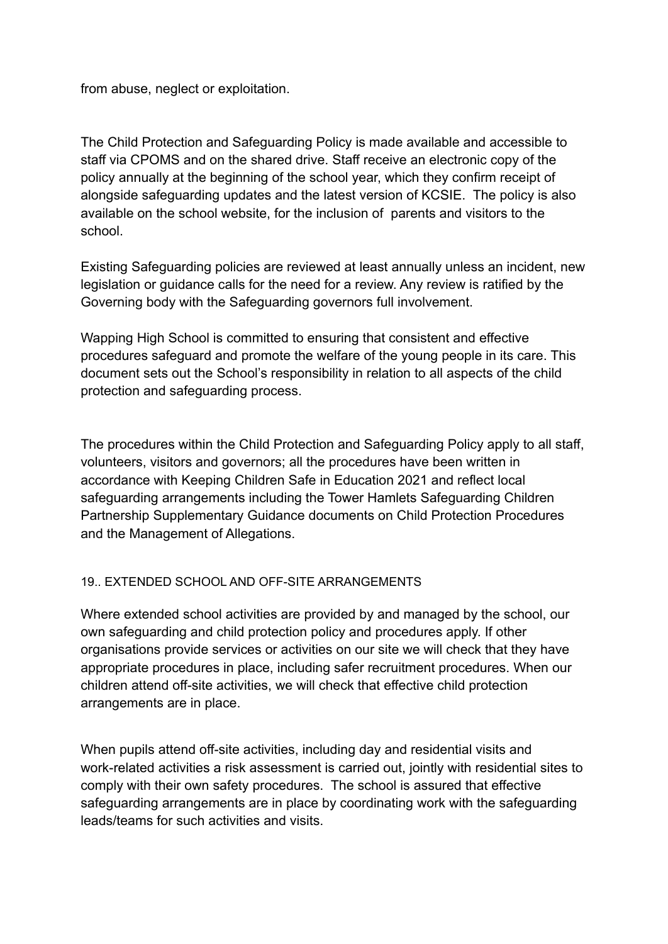from abuse, neglect or exploitation.

The Child Protection and Safeguarding Policy is made available and accessible to staff via CPOMS and on the shared drive. Staff receive an electronic copy of the policy annually at the beginning of the school year, which they confirm receipt of alongside safeguarding updates and the latest version of KCSIE. The policy is also available on the school website, for the inclusion of parents and visitors to the school.

Existing Safeguarding policies are reviewed at least annually unless an incident, new legislation or guidance calls for the need for a review. Any review is ratified by the Governing body with the Safeguarding governors full involvement.

Wapping High School is committed to ensuring that consistent and effective procedures safeguard and promote the welfare of the young people in its care. This document sets out the School's responsibility in relation to all aspects of the child protection and safeguarding process.

The procedures within the Child Protection and Safeguarding Policy apply to all staff, volunteers, visitors and governors; all the procedures have been written in accordance with Keeping Children Safe in Education 2021 and reflect local safeguarding arrangements including the Tower Hamlets Safeguarding Children Partnership Supplementary Guidance documents on Child Protection Procedures and the Management of Allegations.

# 19.. EXTENDED SCHOOL AND OFF-SITE ARRANGEMENTS

Where extended school activities are provided by and managed by the school, our own safeguarding and child protection policy and procedures apply. If other organisations provide services or activities on our site we will check that they have appropriate procedures in place, including safer recruitment procedures. When our children attend off-site activities, we will check that effective child protection arrangements are in place.

When pupils attend off-site activities, including day and residential visits and work-related activities a risk assessment is carried out, jointly with residential sites to comply with their own safety procedures. The school is assured that effective safeguarding arrangements are in place by coordinating work with the safeguarding leads/teams for such activities and visits.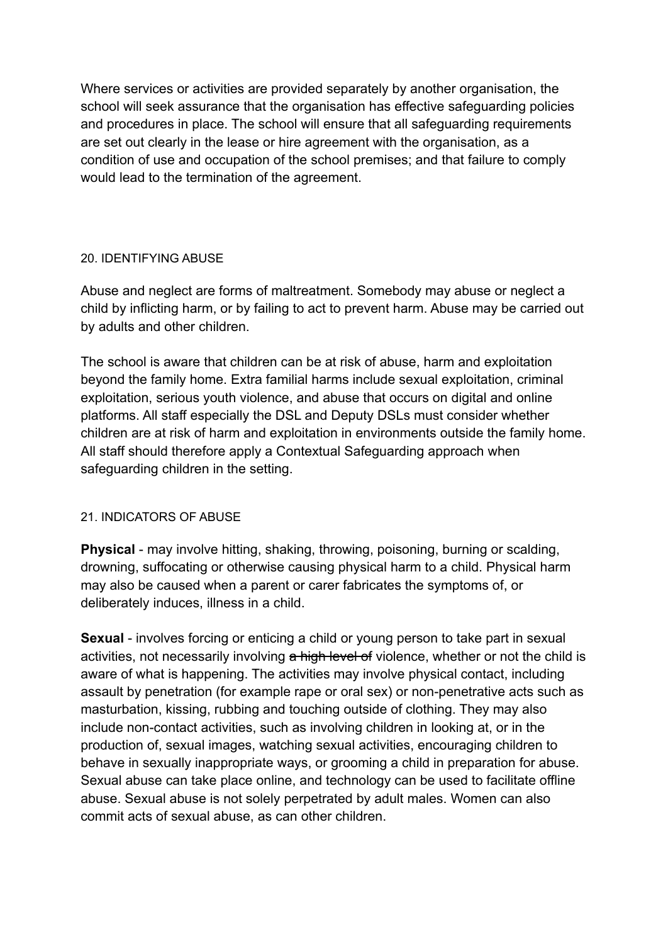Where services or activities are provided separately by another organisation, the school will seek assurance that the organisation has effective safeguarding policies and procedures in place. The school will ensure that all safeguarding requirements are set out clearly in the lease or hire agreement with the organisation, as a condition of use and occupation of the school premises; and that failure to comply would lead to the termination of the agreement.

### 20. IDENTIFYING ABUSE

Abuse and neglect are forms of maltreatment. Somebody may abuse or neglect a child by inflicting harm, or by failing to act to prevent harm. Abuse may be carried out by adults and other children.

The school is aware that children can be at risk of abuse, harm and exploitation beyond the family home. Extra familial harms include sexual exploitation, criminal exploitation, serious youth violence, and abuse that occurs on digital and online platforms. All staff especially the DSL and Deputy DSLs must consider whether children are at risk of harm and exploitation in environments outside the family home. All staff should therefore apply a Contextual Safeguarding approach when safeguarding children in the setting.

#### 21. INDICATORS OF ABUSE

**Physical** - may involve hitting, shaking, throwing, poisoning, burning or scalding, drowning, suffocating or otherwise causing physical harm to a child. Physical harm may also be caused when a parent or carer fabricates the symptoms of, or deliberately induces, illness in a child.

**Sexual** - involves forcing or enticing a child or young person to take part in sexual activities, not necessarily involving a high level of violence, whether or not the child is aware of what is happening. The activities may involve physical contact, including assault by penetration (for example rape or oral sex) or non-penetrative acts such as masturbation, kissing, rubbing and touching outside of clothing. They may also include non-contact activities, such as involving children in looking at, or in the production of, sexual images, watching sexual activities, encouraging children to behave in sexually inappropriate ways, or grooming a child in preparation for abuse. Sexual abuse can take place online, and technology can be used to facilitate offline abuse. Sexual abuse is not solely perpetrated by adult males. Women can also commit acts of sexual abuse, as can other children.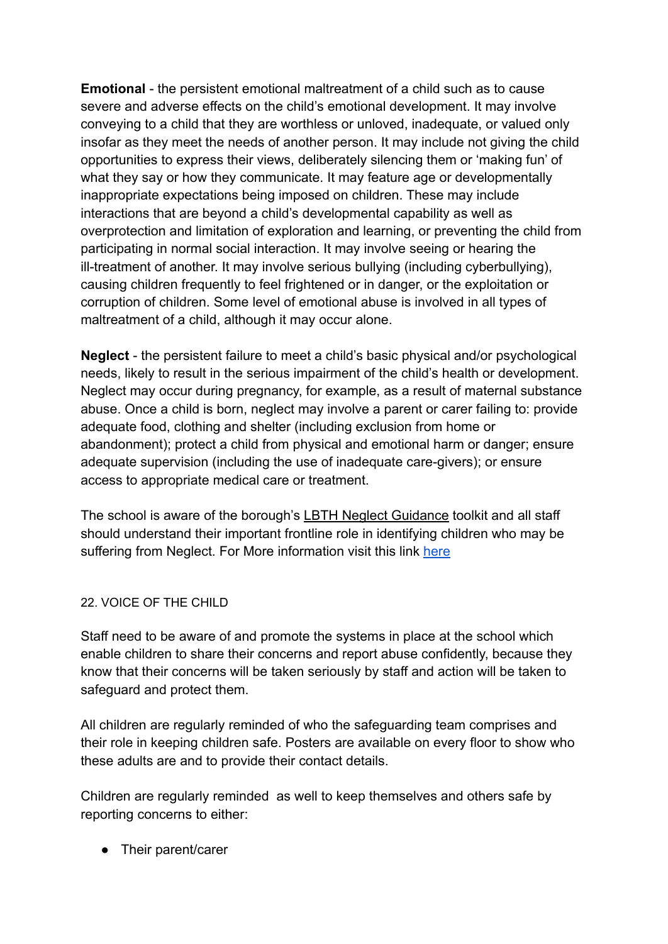**Emotional** - the persistent emotional maltreatment of a child such as to cause severe and adverse effects on the child's emotional development. It may involve conveying to a child that they are worthless or unloved, inadequate, or valued only insofar as they meet the needs of another person. It may include not giving the child opportunities to express their views, deliberately silencing them or 'making fun' of what they say or how they communicate. It may feature age or developmentally inappropriate expectations being imposed on children. These may include interactions that are beyond a child's developmental capability as well as overprotection and limitation of exploration and learning, or preventing the child from participating in normal social interaction. It may involve seeing or hearing the ill-treatment of another. It may involve serious bullying (including cyberbullying), causing children frequently to feel frightened or in danger, or the exploitation or corruption of children. Some level of emotional abuse is involved in all types of maltreatment of a child, although it may occur alone.

**Neglect** - the persistent failure to meet a child's basic physical and/or psychological needs, likely to result in the serious impairment of the child's health or development. Neglect may occur during pregnancy, for example, as a result of maternal substance abuse. Once a child is born, neglect may involve a parent or carer failing to: provide adequate food, clothing and shelter (including exclusion from home or abandonment); protect a child from physical and emotional harm or danger; ensure adequate supervision (including the use of inadequate care-givers); or ensure access to appropriate medical care or treatment.

The school is aware of the borough's [LBTH Neglect](https://proceduresonline.com/trixcms/media/4644/tower-hamlets-neglect-guidance.pdf) Guidance toolkit and all staff should understand their important frontline role in identifying children who may be suffering from Neglect. For More information visit this link [here](https://www.towerhamlets.gov.uk/lgnl/health__social_care/children_and_family_care/child_protection.aspx)

# 22. VOICE OF THE CHILD

Staff need to be aware of and promote the systems in place at the school which enable children to share their concerns and report abuse confidently, because they know that their concerns will be taken seriously by staff and action will be taken to safeguard and protect them.

All children are regularly reminded of who the safeguarding team comprises and their role in keeping children safe. Posters are available on every floor to show who these adults are and to provide their contact details.

Children are regularly reminded as well to keep themselves and others safe by reporting concerns to either:

• Their parent/carer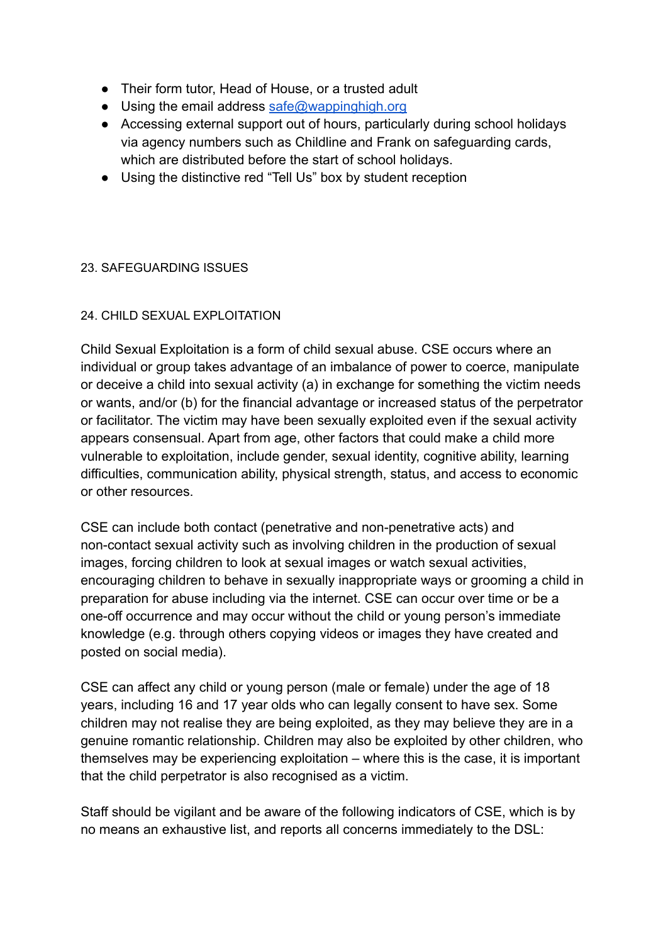- Their form tutor, Head of House, or a trusted adult
- Using the email address [safe@wappinghigh.org](mailto:safe@wappinghigh.org)
- Accessing external support out of hours, particularly during school holidays via agency numbers such as Childline and Frank on safeguarding cards, which are distributed before the start of school holidays.
- Using the distinctive red "Tell Us" box by student reception

### 23. SAFEGUARDING ISSUES

### 24. CHILD SEXUAL EXPLOITATION

Child Sexual Exploitation is a form of child sexual abuse. CSE occurs where an individual or group takes advantage of an imbalance of power to coerce, manipulate or deceive a child into sexual activity (a) in exchange for something the victim needs or wants, and/or (b) for the financial advantage or increased status of the perpetrator or facilitator. The victim may have been sexually exploited even if the sexual activity appears consensual. Apart from age, other factors that could make a child more vulnerable to exploitation, include gender, sexual identity, cognitive ability, learning difficulties, communication ability, physical strength, status, and access to economic or other resources.

CSE can include both contact (penetrative and non-penetrative acts) and non-contact sexual activity such as involving children in the production of sexual images, forcing children to look at sexual images or watch sexual activities, encouraging children to behave in sexually inappropriate ways or grooming a child in preparation for abuse including via the internet. CSE can occur over time or be a one-off occurrence and may occur without the child or young person's immediate knowledge (e.g. through others copying videos or images they have created and posted on social media).

CSE can affect any child or young person (male or female) under the age of 18 years, including 16 and 17 year olds who can legally consent to have sex. Some children may not realise they are being exploited, as they may believe they are in a genuine romantic relationship. Children may also be exploited by other children, who themselves may be experiencing exploitation – where this is the case, it is important that the child perpetrator is also recognised as a victim.

Staff should be vigilant and be aware of the following indicators of CSE, which is by no means an exhaustive list, and reports all concerns immediately to the DSL: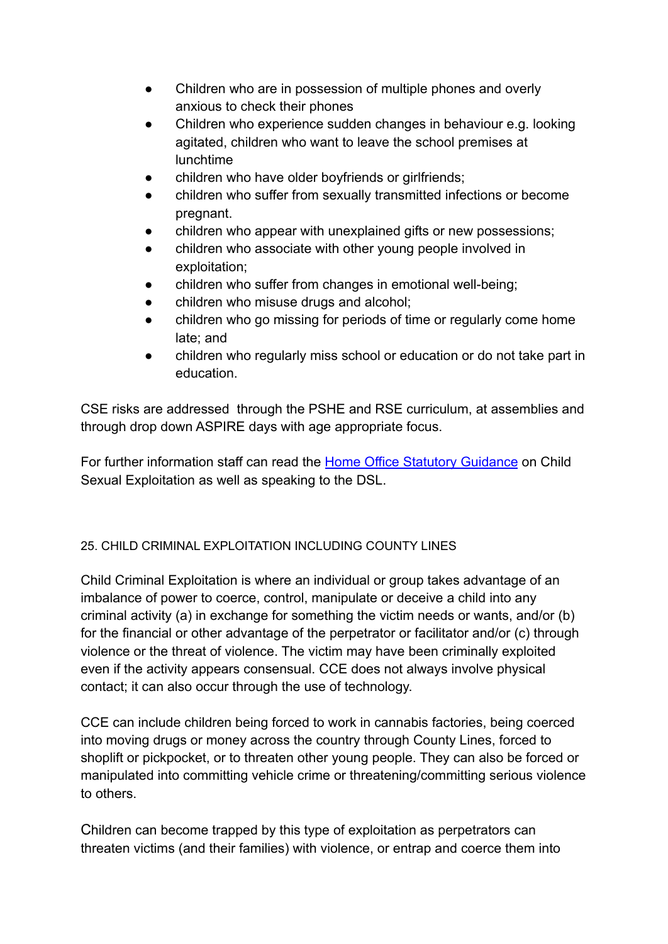- Children who are in possession of multiple phones and overly anxious to check their phones
- Children who experience sudden changes in behaviour e.g. looking agitated, children who want to leave the school premises at lunchtime
- children who have older boyfriends or girlfriends;
- children who suffer from sexually transmitted infections or become pregnant.
- children who appear with unexplained gifts or new possessions;
- children who associate with other young people involved in exploitation;
- children who suffer from changes in emotional well-being;
- children who misuse drugs and alcohol;
- children who go missing for periods of time or regularly come home late; and
- children who regularly miss school or education or do not take part in education.

CSE risks are addressed through the PSHE and RSE curriculum, at assemblies and through drop down ASPIRE days with age appropriate focus.

For further information staff can read the Home Office [Statutory Guidance](https://www.gov.uk/government/publications/child-sexual-exploitation-definition-and-guide-for-practitioners) on Child Sexual Exploitation as well as speaking to the DSL.

# 25. CHILD CRIMINAL EXPLOITATION INCLUDING COUNTY LINES

Child Criminal Exploitation is where an individual or group takes advantage of an imbalance of power to coerce, control, manipulate or deceive a child into any criminal activity (a) in exchange for something the victim needs or wants, and/or (b) for the financial or other advantage of the perpetrator or facilitator and/or (c) through violence or the threat of violence. The victim may have been criminally exploited even if the activity appears consensual. CCE does not always involve physical contact; it can also occur through the use of technology.

CCE can include children being forced to work in cannabis factories, being coerced into moving drugs or money across the country through County Lines, forced to shoplift or pickpocket, or to threaten other young people. They can also be forced or manipulated into committing vehicle crime or threatening/committing serious violence to others.

Children can become trapped by this type of exploitation as perpetrators can threaten victims (and their families) with violence, or entrap and coerce them into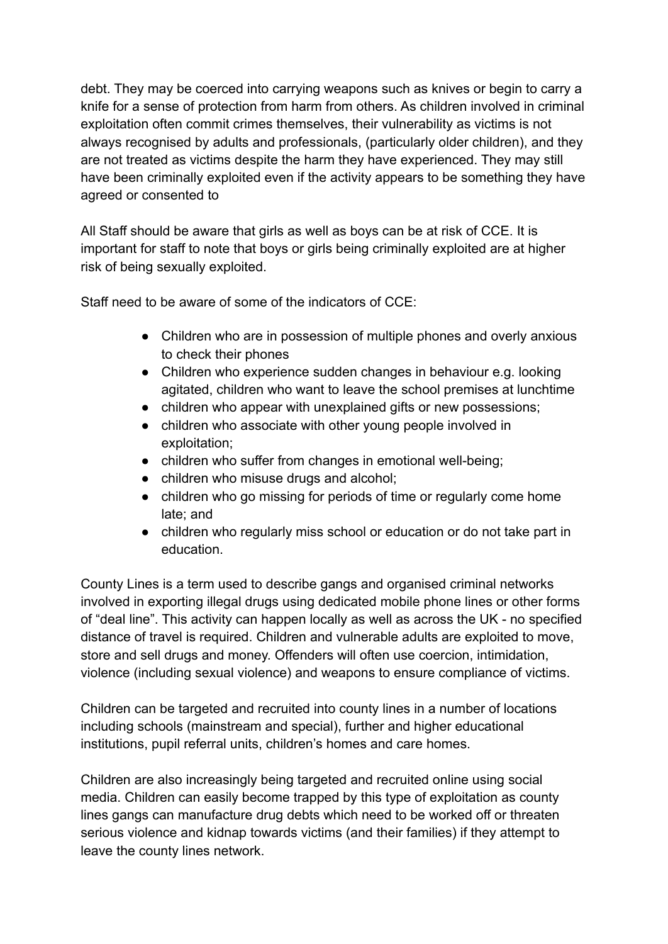debt. They may be coerced into carrying weapons such as knives or begin to carry a knife for a sense of protection from harm from others. As children involved in criminal exploitation often commit crimes themselves, their vulnerability as victims is not always recognised by adults and professionals, (particularly older children), and they are not treated as victims despite the harm they have experienced. They may still have been criminally exploited even if the activity appears to be something they have agreed or consented to

All Staff should be aware that girls as well as boys can be at risk of CCE. It is important for staff to note that boys or girls being criminally exploited are at higher risk of being sexually exploited.

Staff need to be aware of some of the indicators of CCE:

- Children who are in possession of multiple phones and overly anxious to check their phones
- Children who experience sudden changes in behaviour e.g. looking agitated, children who want to leave the school premises at lunchtime
- children who appear with unexplained gifts or new possessions;
- children who associate with other young people involved in exploitation;
- children who suffer from changes in emotional well-being;
- children who misuse drugs and alcohol;
- children who go missing for periods of time or regularly come home late; and
- children who regularly miss school or education or do not take part in education.

County Lines is a term used to describe gangs and organised criminal networks involved in exporting illegal drugs using dedicated mobile phone lines or other forms of "deal line". This activity can happen locally as well as across the UK - no specified distance of travel is required. Children and vulnerable adults are exploited to move, store and sell drugs and money. Offenders will often use coercion, intimidation, violence (including sexual violence) and weapons to ensure compliance of victims.

Children can be targeted and recruited into county lines in a number of locations including schools (mainstream and special), further and higher educational institutions, pupil referral units, children's homes and care homes.

Children are also increasingly being targeted and recruited online using social media. Children can easily become trapped by this type of exploitation as county lines gangs can manufacture drug debts which need to be worked off or threaten serious violence and kidnap towards victims (and their families) if they attempt to leave the county lines network.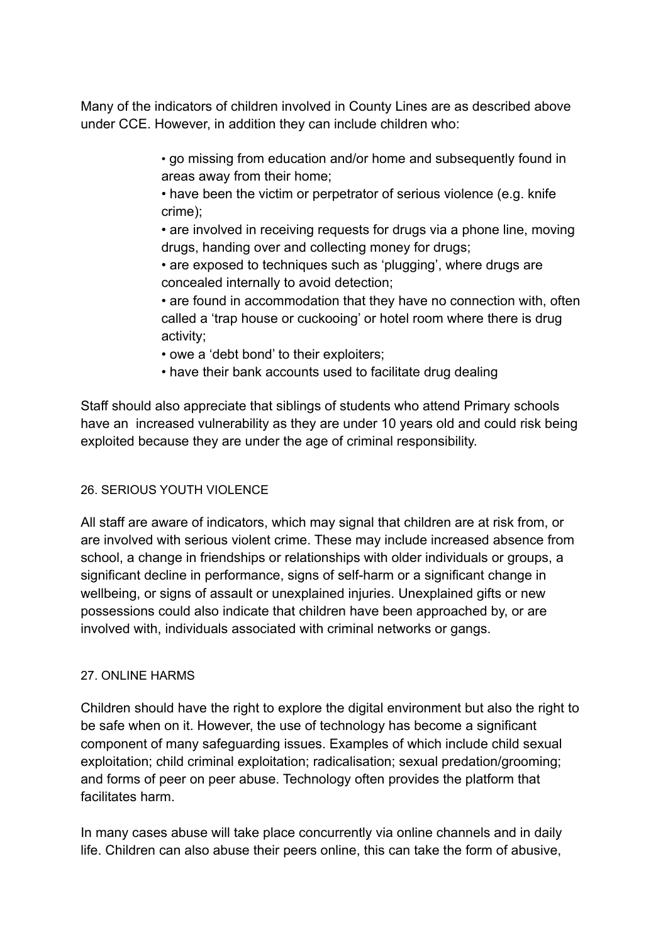Many of the indicators of children involved in County Lines are as described above under CCE. However, in addition they can include children who:

> • go missing from education and/or home and subsequently found in areas away from their home;

• have been the victim or perpetrator of serious violence (e.g. knife crime);

• are involved in receiving requests for drugs via a phone line, moving drugs, handing over and collecting money for drugs;

• are exposed to techniques such as 'plugging', where drugs are concealed internally to avoid detection;

• are found in accommodation that they have no connection with, often called a 'trap house or cuckooing' or hotel room where there is drug activity;

• owe a 'debt bond' to their exploiters;

• have their bank accounts used to facilitate drug dealing

Staff should also appreciate that siblings of students who attend Primary schools have an increased vulnerability as they are under 10 years old and could risk being exploited because they are under the age of criminal responsibility.

# 26. SERIOUS YOUTH VIOLENCE

All staff are aware of indicators, which may signal that children are at risk from, or are involved with serious violent crime. These may include increased absence from school, a change in friendships or relationships with older individuals or groups, a significant decline in performance, signs of self-harm or a significant change in wellbeing, or signs of assault or unexplained injuries. Unexplained gifts or new possessions could also indicate that children have been approached by, or are involved with, individuals associated with criminal networks or gangs.

#### 27. ONLINE HARMS

Children should have the right to explore the digital environment but also the right to be safe when on it. However, the use of technology has become a significant component of many safeguarding issues. Examples of which include child sexual exploitation; child criminal exploitation; radicalisation; sexual predation/grooming; and forms of peer on peer abuse. Technology often provides the platform that facilitates harm.

In many cases abuse will take place concurrently via online channels and in daily life. Children can also abuse their peers online, this can take the form of abusive,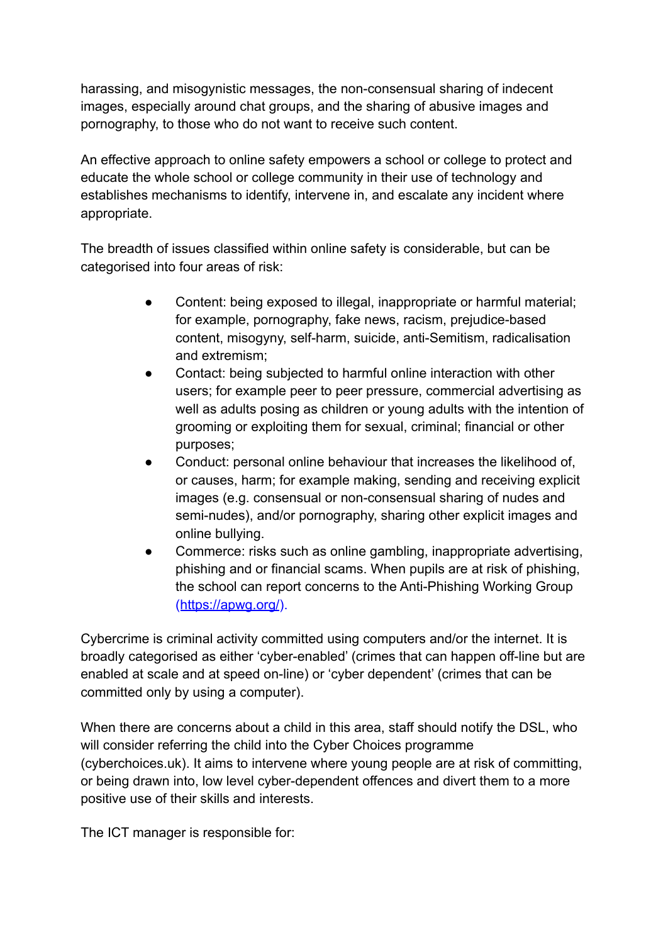harassing, and misogynistic messages, the non-consensual sharing of indecent images, especially around chat groups, and the sharing of abusive images and pornography, to those who do not want to receive such content.

An effective approach to online safety empowers a school or college to protect and educate the whole school or college community in their use of technology and establishes mechanisms to identify, intervene in, and escalate any incident where appropriate.

The breadth of issues classified within online safety is considerable, but can be categorised into four areas of risk:

- Content: being exposed to illegal, inappropriate or harmful material; for example, pornography, fake news, racism, prejudice-based content, misogyny, self-harm, suicide, anti-Semitism, radicalisation and extremism;
- Contact: being subjected to harmful online interaction with other users; for example peer to peer pressure, commercial advertising as well as adults posing as children or young adults with the intention of grooming or exploiting them for sexual, criminal; financial or other purposes;
- Conduct: personal online behaviour that increases the likelihood of, or causes, harm; for example making, sending and receiving explicit images (e.g. consensual or non-consensual sharing of nudes and semi-nudes), and/or pornography, sharing other explicit images and online bullying.
- Commerce: risks such as online gambling, inappropriate advertising, phishing and or financial scams. When pupils are at risk of phishing, the school can report concerns to the Anti-Phishing Working Group (<https://apwg.org/>).

Cybercrime is criminal activity committed using computers and/or the internet. It is broadly categorised as either 'cyber-enabled' (crimes that can happen off-line but are enabled at scale and at speed on-line) or 'cyber dependent' (crimes that can be committed only by using a computer).

When there are concerns about a child in this area, staff should notify the DSL, who will consider referring the child into the Cyber Choices programme (cyberchoices.uk). It aims to intervene where young people are at risk of committing, or being drawn into, low level cyber-dependent offences and divert them to a more positive use of their skills and interests.

The ICT manager is responsible for: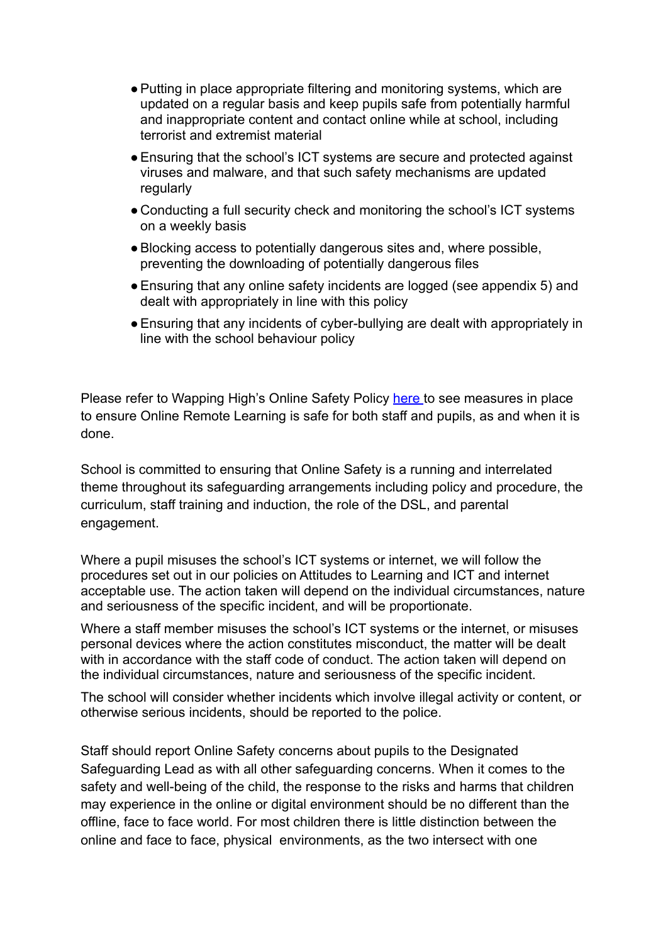- ●Putting in place appropriate filtering and monitoring systems, which are updated on a regular basis and keep pupils safe from potentially harmful and inappropriate content and contact online while at school, including terrorist and extremist material
- Ensuring that the school's ICT systems are secure and protected against viruses and malware, and that such safety mechanisms are updated regularly
- Conducting a full security check and monitoring the school's ICT systems on a weekly basis
- ●Blocking access to potentially dangerous sites and, where possible, preventing the downloading of potentially dangerous files
- Ensuring that any online safety incidents are logged (see appendix 5) and dealt with appropriately in line with this policy
- ●Ensuring that any incidents of cyber-bullying are dealt with appropriately in line with the school behaviour policy

Please refer to Wapping High's Online Safety Policy [here](https://docs.google.com/document/d/1XLRogjYZ3F3IDrahzYjYMND_j_Hpy94pXidTLWzPs_4/edit#) to see measures in place to ensure Online Remote Learning is safe for both staff and pupils, as and when it is done.

School is committed to ensuring that Online Safety is a running and interrelated theme throughout its safeguarding arrangements including policy and procedure, the curriculum, staff training and induction, the role of the DSL, and parental engagement.

Where a pupil misuses the school's ICT systems or internet, we will follow the procedures set out in our policies on Attitudes to Learning and ICT and internet acceptable use. The action taken will depend on the individual circumstances, nature and seriousness of the specific incident, and will be proportionate.

Where a staff member misuses the school's ICT systems or the internet, or misuses personal devices where the action constitutes misconduct, the matter will be dealt with in accordance with the staff code of conduct. The action taken will depend on the individual circumstances, nature and seriousness of the specific incident.

The school will consider whether incidents which involve illegal activity or content, or otherwise serious incidents, should be reported to the police.

Staff should report Online Safety concerns about pupils to the Designated Safeguarding Lead as with all other safeguarding concerns. When it comes to the safety and well-being of the child, the response to the risks and harms that children may experience in the online or digital environment should be no different than the offline, face to face world. For most children there is little distinction between the online and face to face, physical environments, as the two intersect with one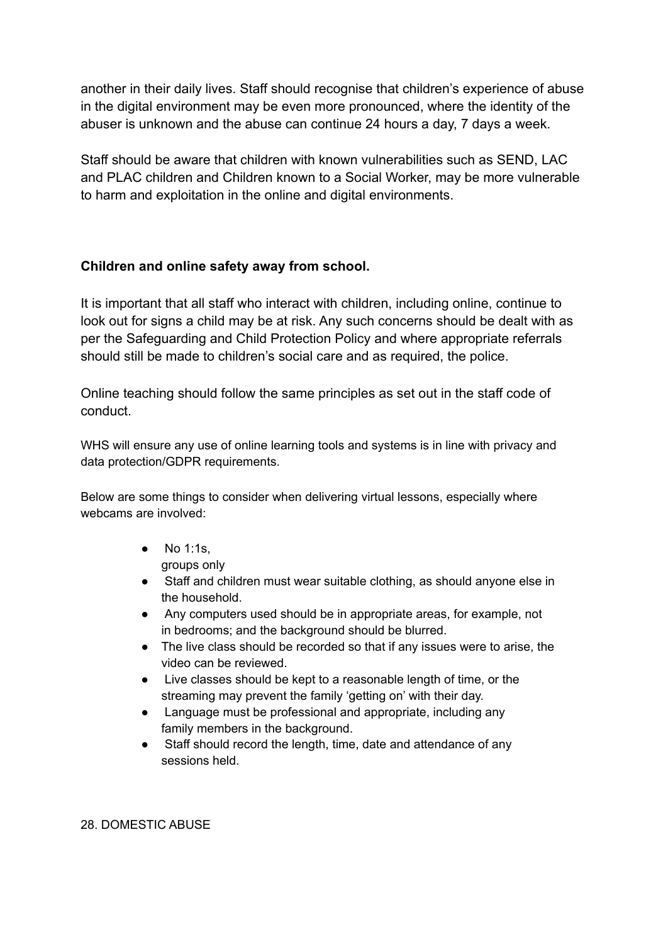another in their daily lives. Staff should recognise that children's experience of abuse in the digital environment may be even more pronounced, where the identity of the abuser is unknown and the abuse can continue 24 hours a day, 7 days a week.

Staff should be aware that children with known vulnerabilities such as SEND, LAC and PLAC children and Children known to a Social Worker, may be more vulnerable to harm and exploitation in the online and digital environments.

# **Children and online safety away from school.**

It is important that all staff who interact with children, including online, continue to look out for signs a child may be at risk. Any such concerns should be dealt with as per the Safeguarding and Child Protection Policy and where appropriate referrals should still be made to children's social care and as required, the police.

Online teaching should follow the same principles as set out in the staff code of conduct.

WHS will ensure any use of online learning tools and systems is in line with privacy and data protection/GDPR requirements.

Below are some things to consider when delivering virtual lessons, especially where webcams are involved:

● No 1:1s,

groups only

- Staff and children must wear suitable clothing, as should anyone else in the household.
- Any computers used should be in appropriate areas, for example, not in bedrooms; and the background should be blurred.
- The live class should be recorded so that if any issues were to arise, the video can be reviewed.
- Live classes should be kept to a reasonable length of time, or the streaming may prevent the family 'getting on' with their day.
- Language must be professional and appropriate, including any family members in the background.
- Staff should record the length, time, date and attendance of any sessions held.

28. DOMESTIC ABUSE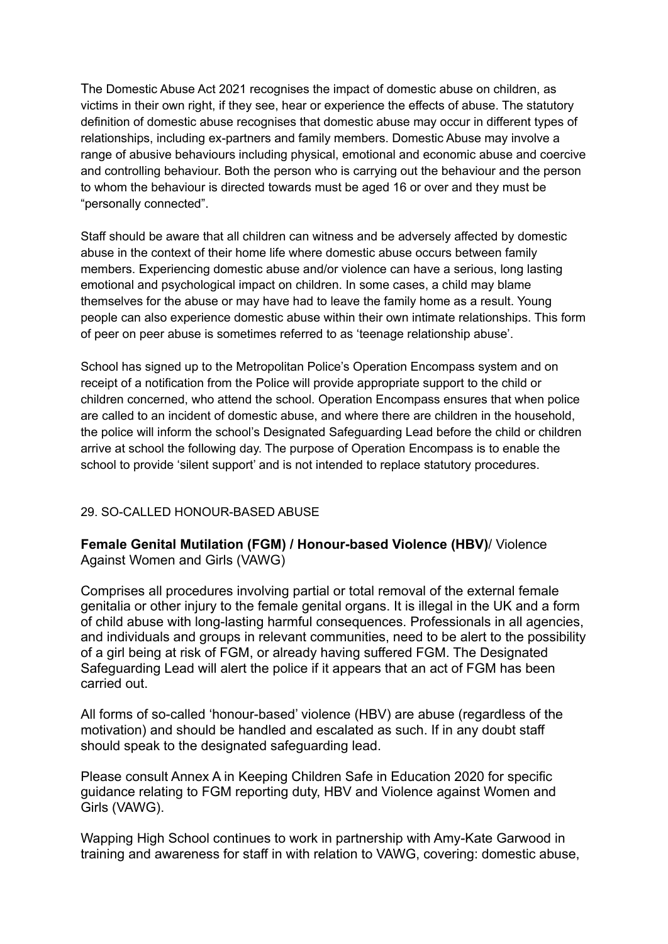The Domestic Abuse Act 2021 recognises the impact of domestic abuse on children, as victims in their own right, if they see, hear or experience the effects of abuse. The statutory definition of domestic abuse recognises that domestic abuse may occur in different types of relationships, including ex-partners and family members. Domestic Abuse may involve a range of abusive behaviours including physical, emotional and economic abuse and coercive and controlling behaviour. Both the person who is carrying out the behaviour and the person to whom the behaviour is directed towards must be aged 16 or over and they must be "personally connected".

Staff should be aware that all children can witness and be adversely affected by domestic abuse in the context of their home life where domestic abuse occurs between family members. Experiencing domestic abuse and/or violence can have a serious, long lasting emotional and psychological impact on children. In some cases, a child may blame themselves for the abuse or may have had to leave the family home as a result. Young people can also experience domestic abuse within their own intimate relationships. This form of peer on peer abuse is sometimes referred to as 'teenage relationship abuse'.

School has signed up to the Metropolitan Police's Operation Encompass system and on receipt of a notification from the Police will provide appropriate support to the child or children concerned, who attend the school. Operation Encompass ensures that when police are called to an incident of domestic abuse, and where there are children in the household, the police will inform the school's Designated Safeguarding Lead before the child or children arrive at school the following day. The purpose of Operation Encompass is to enable the school to provide 'silent support' and is not intended to replace statutory procedures.

#### 29. SO-CALLED HONOUR-BASED ABUSE

#### **Female Genital Mutilation (FGM) / Honour-based Violence (HBV)**/ Violence Against Women and Girls (VAWG)

Comprises all procedures involving partial or total removal of the external female genitalia or other injury to the female genital organs. It is illegal in the UK and a form of child abuse with long-lasting harmful consequences. Professionals in all agencies, and individuals and groups in relevant communities, need to be alert to the possibility of a girl being at risk of FGM, or already having suffered FGM. The Designated Safeguarding Lead will alert the police if it appears that an act of FGM has been carried out.

All forms of so-called 'honour-based' violence (HBV) are abuse (regardless of the motivation) and should be handled and escalated as such. If in any doubt staff should speak to the designated safeguarding lead.

Please consult Annex A in Keeping Children Safe in Education 2020 for specific guidance relating to FGM reporting duty, HBV and Violence against Women and Girls (VAWG).

Wapping High School continues to work in partnership with Amy-Kate Garwood in training and awareness for staff in with relation to VAWG, covering: domestic abuse,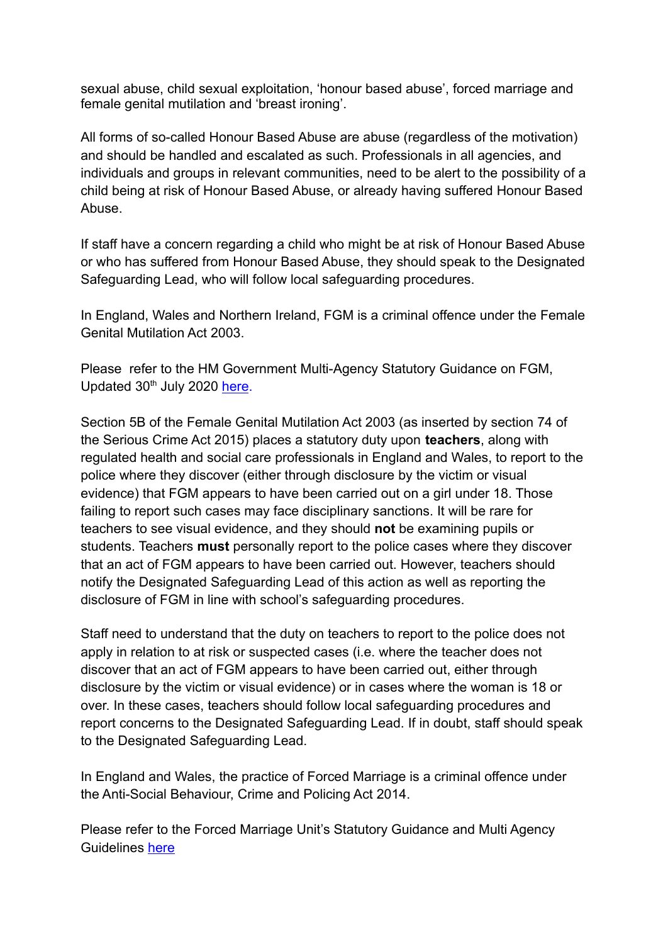sexual abuse, child sexual exploitation, 'honour based abuse', forced marriage and female genital mutilation and 'breast ironing'.

All forms of so-called Honour Based Abuse are abuse (regardless of the motivation) and should be handled and escalated as such. Professionals in all agencies, and individuals and groups in relevant communities, need to be alert to the possibility of a child being at risk of Honour Based Abuse, or already having suffered Honour Based Abuse.

If staff have a concern regarding a child who might be at risk of Honour Based Abuse or who has suffered from Honour Based Abuse, they should speak to the Designated Safeguarding Lead, who will follow local safeguarding procedures.

In England, Wales and Northern Ireland, FGM is a criminal offence under the Female Genital Mutilation Act 2003.

Please refer to the HM Government Multi-Agency Statutory Guidance on FGM, Updated 30<sup>th</sup> July 2020 [here](https://www.gov.uk/government/publications/multi-agency-statutory-guidance-on-female-genital-mutilationance%20on%20FGM,%20Updated%2030th%20July%202020).

Section 5B of the Female Genital Mutilation Act 2003 (as inserted by section 74 of the Serious Crime Act 2015) places a statutory duty upon **teachers**, along with regulated health and social care professionals in England and Wales, to report to the police where they discover (either through disclosure by the victim or visual evidence) that FGM appears to have been carried out on a girl under 18. Those failing to report such cases may face disciplinary sanctions. It will be rare for teachers to see visual evidence, and they should **not** be examining pupils or students. Teachers **must** personally report to the police cases where they discover that an act of FGM appears to have been carried out. However, teachers should notify the Designated Safeguarding Lead of this action as well as reporting the disclosure of FGM in line with school's safeguarding procedures.

Staff need to understand that the duty on teachers to report to the police does not apply in relation to at risk or suspected cases (i.e. where the teacher does not discover that an act of FGM appears to have been carried out, either through disclosure by the victim or visual evidence) or in cases where the woman is 18 or over. In these cases, teachers should follow local safeguarding procedures and report concerns to the Designated Safeguarding Lead. If in doubt, staff should speak to the Designated Safeguarding Lead.

In England and Wales, the practice of Forced Marriage is a criminal offence under the Anti-Social Behaviour, Crime and Policing Act 2014.

Please refer to the Forced Marriage Unit's Statutory Guidance and Multi Agency Guidelines [here](https://www.gov.uk/guidance/forced-marriage)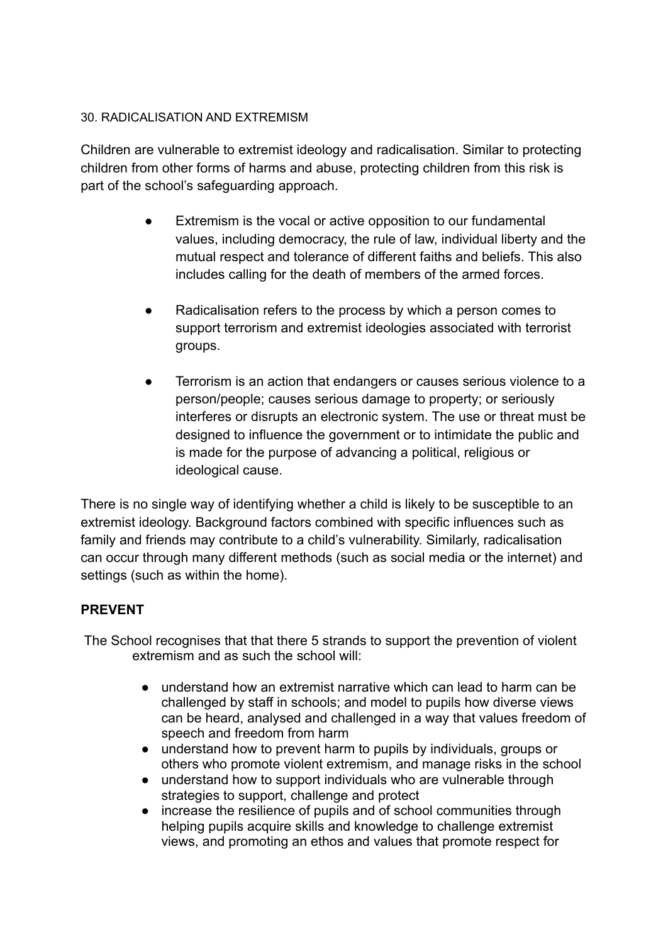#### 30. RADICALISATION AND EXTREMISM

Children are vulnerable to extremist ideology and radicalisation. Similar to protecting children from other forms of harms and abuse, protecting children from this risk is part of the school's safeguarding approach.

- Extremism is the vocal or active opposition to our fundamental values, including democracy, the rule of law, individual liberty and the mutual respect and tolerance of different faiths and beliefs. This also includes calling for the death of members of the armed forces.
- Radicalisation refers to the process by which a person comes to support terrorism and extremist ideologies associated with terrorist groups.
- Terrorism is an action that endangers or causes serious violence to a person/people; causes serious damage to property; or seriously interferes or disrupts an electronic system. The use or threat must be designed to influence the government or to intimidate the public and is made for the purpose of advancing a political, religious or ideological cause.

There is no single way of identifying whether a child is likely to be susceptible to an extremist ideology. Background factors combined with specific influences such as family and friends may contribute to a child's vulnerability. Similarly, radicalisation can occur through many different methods (such as social media or the internet) and settings (such as within the home).

# **PREVENT**

The School recognises that that there 5 strands to support the prevention of violent extremism and as such the school will:

- understand how an extremist narrative which can lead to harm can be challenged by staff in schools; and model to pupils how diverse views can be heard, analysed and challenged in a way that values freedom of speech and freedom from harm
- understand how to prevent harm to pupils by individuals, groups or others who promote violent extremism, and manage risks in the school
- understand how to support individuals who are vulnerable through strategies to support, challenge and protect
- increase the resilience of pupils and of school communities through helping pupils acquire skills and knowledge to challenge extremist views, and promoting an ethos and values that promote respect for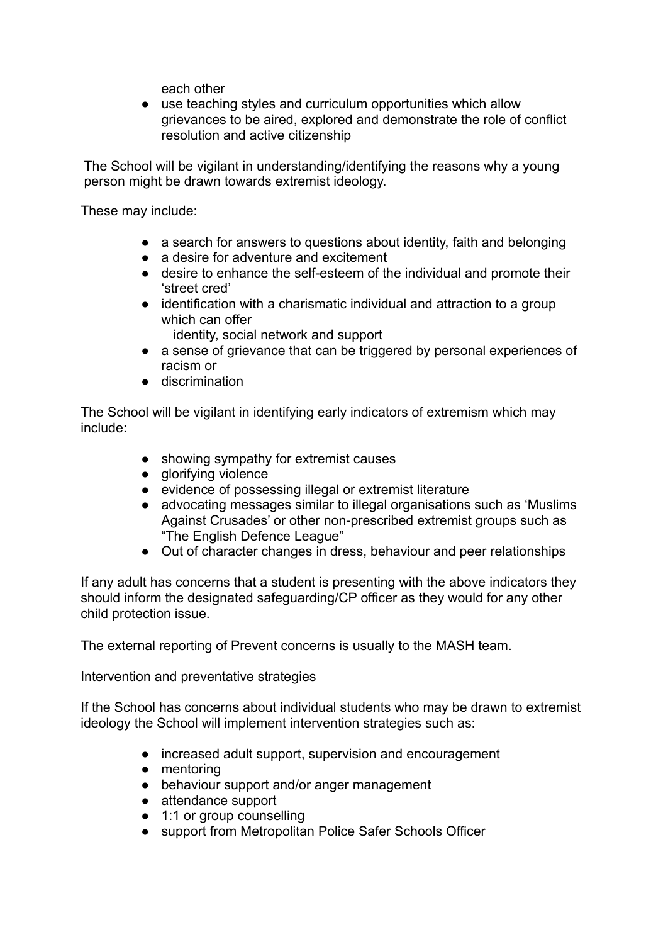each other

● use teaching styles and curriculum opportunities which allow grievances to be aired, explored and demonstrate the role of conflict resolution and active citizenship

The School will be vigilant in understanding/identifying the reasons why a young person might be drawn towards extremist ideology.

These may include:

- a search for answers to questions about identity, faith and belonging
- a desire for adventure and excitement
- desire to enhance the self-esteem of the individual and promote their 'street cred'
- identification with a charismatic individual and attraction to a group which can offer
	- identity, social network and support
- a sense of grievance that can be triggered by personal experiences of racism or
- discrimination

The School will be vigilant in identifying early indicators of extremism which may include:

- showing sympathy for extremist causes
- glorifying violence
- evidence of possessing illegal or extremist literature
- advocating messages similar to illegal organisations such as 'Muslims Against Crusades' or other non-prescribed extremist groups such as "The English Defence League"
- Out of character changes in dress, behaviour and peer relationships

If any adult has concerns that a student is presenting with the above indicators they should inform the designated safeguarding/CP officer as they would for any other child protection issue.

The external reporting of Prevent concerns is usually to the MASH team.

Intervention and preventative strategies

If the School has concerns about individual students who may be drawn to extremist ideology the School will implement intervention strategies such as:

- increased adult support, supervision and encouragement
- mentoring
- behaviour support and/or anger management
- attendance support
- 1:1 or group counselling
- support from Metropolitan Police Safer Schools Officer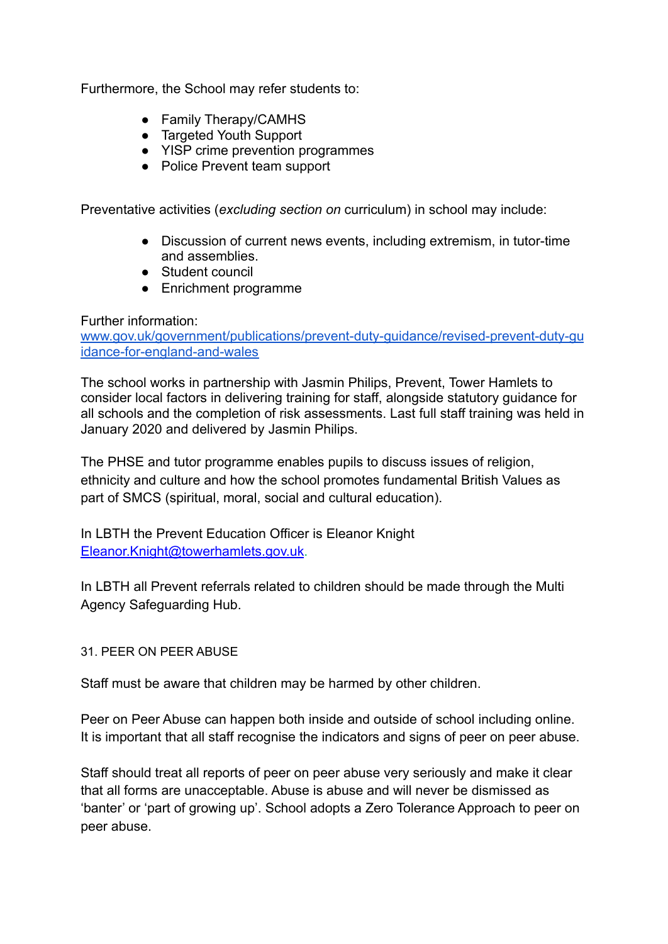Furthermore, the School may refer students to:

- Family Therapy/CAMHS
- Targeted Youth Support
- YISP crime prevention programmes
- Police Prevent team support

Preventative activities (*excluding section on* curriculum) in school may include:

- Discussion of current news events, including extremism, in tutor-time and assemblies.
- Student council
- Enrichment programme

Further information:

[www.gov.uk/government/publications/prevent-duty-guidance/revised-prevent-duty-gu](http://www.gov.uk/government/publications/prevent-duty-guidance/revised-prevent-duty-guidance-for-england-and-wales) [idance-for-england-and-wales](http://www.gov.uk/government/publications/prevent-duty-guidance/revised-prevent-duty-guidance-for-england-and-wales)

The school works in partnership with Jasmin Philips, Prevent, Tower Hamlets to consider local factors in delivering training for staff, alongside statutory guidance for all schools and the completion of risk assessments. Last full staff training was held in January 2020 and delivered by Jasmin Philips.

The PHSE and tutor programme enables pupils to discuss issues of religion, ethnicity and culture and how the school promotes fundamental British Values as part of SMCS (spiritual, moral, social and cultural education).

In LBTH the Prevent Education Officer is Eleanor Knight [Eleanor.Knight@towerhamlets.gov.uk](mailto:Eleanor.Knight@towerhamlets.gov.uk).

In LBTH all Prevent referrals related to children should be made through the Multi Agency Safeguarding Hub.

31. PEER ON PEER ABUSE

Staff must be aware that children may be harmed by other children.

Peer on Peer Abuse can happen both inside and outside of school including online. It is important that all staff recognise the indicators and signs of peer on peer abuse.

Staff should treat all reports of peer on peer abuse very seriously and make it clear that all forms are unacceptable. Abuse is abuse and will never be dismissed as 'banter' or 'part of growing up'. School adopts a Zero Tolerance Approach to peer on peer abuse.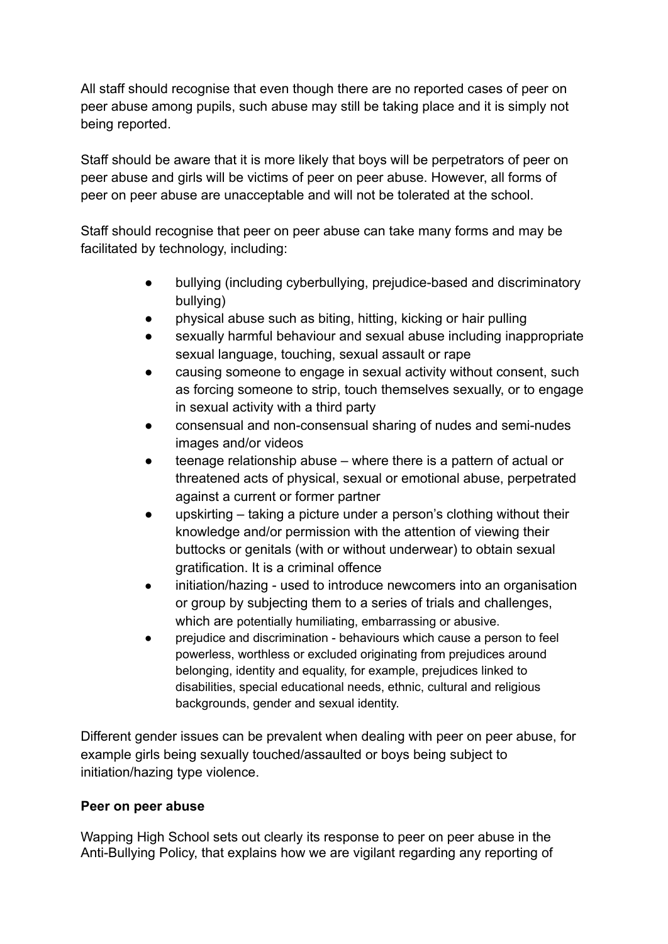All staff should recognise that even though there are no reported cases of peer on peer abuse among pupils, such abuse may still be taking place and it is simply not being reported.

Staff should be aware that it is more likely that boys will be perpetrators of peer on peer abuse and girls will be victims of peer on peer abuse. However, all forms of peer on peer abuse are unacceptable and will not be tolerated at the school.

Staff should recognise that peer on peer abuse can take many forms and may be facilitated by technology, including:

- bullying (including cyberbullying, prejudice-based and discriminatory bullying)
- physical abuse such as biting, hitting, kicking or hair pulling
- sexually harmful behaviour and sexual abuse including inappropriate sexual language, touching, sexual assault or rape
- causing someone to engage in sexual activity without consent, such as forcing someone to strip, touch themselves sexually, or to engage in sexual activity with a third party
- consensual and non-consensual sharing of nudes and semi-nudes images and/or videos
- $t$ eenage relationship abuse where there is a pattern of actual or threatened acts of physical, sexual or emotional abuse, perpetrated against a current or former partner
- upskirting taking a picture under a person's clothing without their knowledge and/or permission with the attention of viewing their buttocks or genitals (with or without underwear) to obtain sexual gratification. It is a criminal offence
- initiation/hazing used to introduce newcomers into an organisation or group by subjecting them to a series of trials and challenges, which are potentially humiliating, embarrassing or abusive.
- prejudice and discrimination behaviours which cause a person to feel powerless, worthless or excluded originating from prejudices around belonging, identity and equality, for example, prejudices linked to disabilities, special educational needs, ethnic, cultural and religious backgrounds, gender and sexual identity.

Different gender issues can be prevalent when dealing with peer on peer abuse, for example girls being sexually touched/assaulted or boys being subject to initiation/hazing type violence.

# **Peer on peer abuse**

Wapping High School sets out clearly its response to peer on peer abuse in the Anti-Bullying Policy, that explains how we are vigilant regarding any reporting of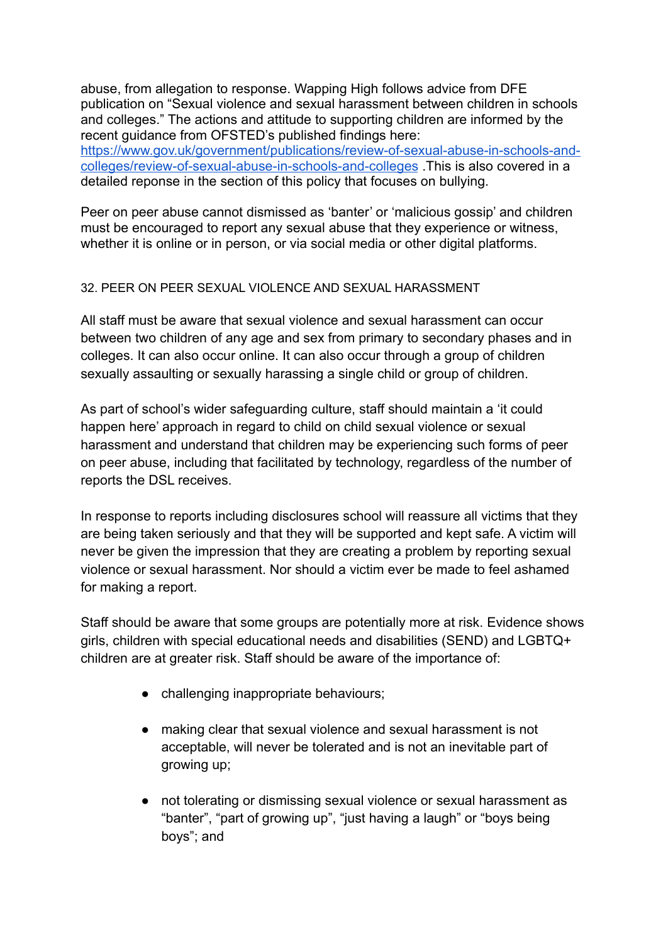abuse, from allegation to response. Wapping High follows advice from DFE publication on "Sexual violence and sexual harassment between children in schools and colleges." The actions and attitude to supporting children are informed by the recent guidance from OFSTED's published findings here: [https://www.gov.uk/government/publications/review-of-sexual-abuse-in-schools-and](https://www.gov.uk/government/publications/review-of-sexual-abuse-in-schools-and-colleges/review-of-sexual-abuse-in-schools-and-colleges)[colleges/review-of-sexual-abuse-in-schools-and-colleges](https://www.gov.uk/government/publications/review-of-sexual-abuse-in-schools-and-colleges/review-of-sexual-abuse-in-schools-and-colleges) .This is also covered in a detailed reponse in the section of this policy that focuses on bullying.

Peer on peer abuse cannot dismissed as 'banter' or 'malicious gossip' and children must be encouraged to report any sexual abuse that they experience or witness, whether it is online or in person, or via social media or other digital platforms.

### 32. PEER ON PEER SEXUAL VIOLENCE AND SEXUAL HARASSMENT

All staff must be aware that sexual violence and sexual harassment can occur between two children of any age and sex from primary to secondary phases and in colleges. It can also occur online. It can also occur through a group of children sexually assaulting or sexually harassing a single child or group of children.

As part of school's wider safeguarding culture, staff should maintain a 'it could happen here' approach in regard to child on child sexual violence or sexual harassment and understand that children may be experiencing such forms of peer on peer abuse, including that facilitated by technology, regardless of the number of reports the DSL receives.

In response to reports including disclosures school will reassure all victims that they are being taken seriously and that they will be supported and kept safe. A victim will never be given the impression that they are creating a problem by reporting sexual violence or sexual harassment. Nor should a victim ever be made to feel ashamed for making a report.

Staff should be aware that some groups are potentially more at risk. Evidence shows girls, children with special educational needs and disabilities (SEND) and LGBTQ+ children are at greater risk. Staff should be aware of the importance of:

- challenging inappropriate behaviours;
- making clear that sexual violence and sexual harassment is not acceptable, will never be tolerated and is not an inevitable part of growing up;
- not tolerating or dismissing sexual violence or sexual harassment as "banter", "part of growing up", "just having a laugh" or "boys being boys"; and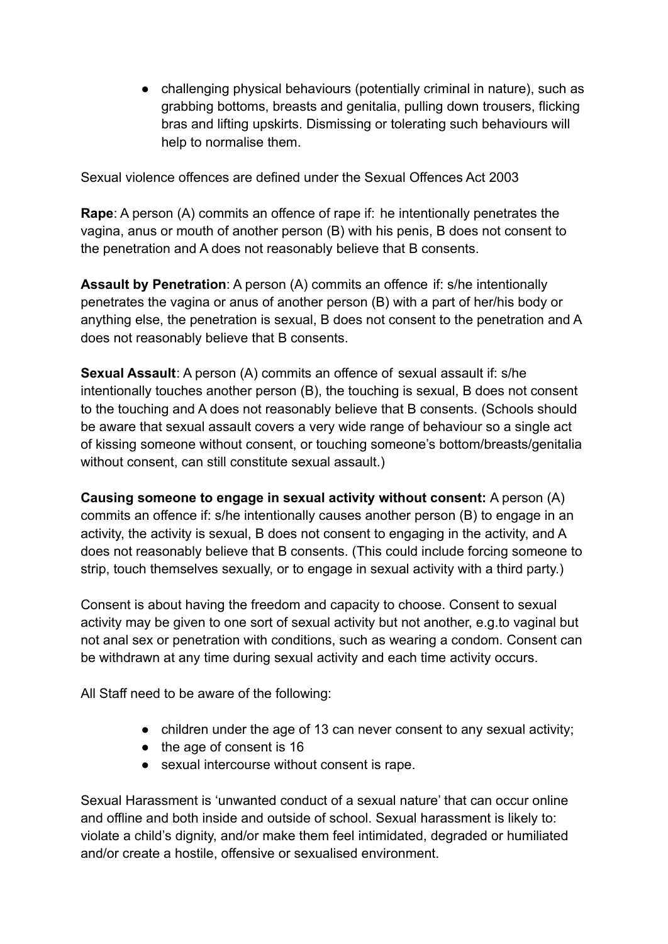• challenging physical behaviours (potentially criminal in nature), such as grabbing bottoms, breasts and genitalia, pulling down trousers, flicking bras and lifting upskirts. Dismissing or tolerating such behaviours will help to normalise them.

Sexual violence offences are defined under the Sexual Offences Act 2003

**Rape**: A person (A) commits an offence of rape if: he intentionally penetrates the vagina, anus or mouth of another person (B) with his penis, B does not consent to the penetration and A does not reasonably believe that B consents.

**Assault by Penetration**: A person (A) commits an offence if: s/he intentionally penetrates the vagina or anus of another person (B) with a part of her/his body or anything else, the penetration is sexual, B does not consent to the penetration and A does not reasonably believe that B consents.

**Sexual Assault**: A person (A) commits an offence of sexual assault if: s/he intentionally touches another person (B), the touching is sexual, B does not consent to the touching and A does not reasonably believe that B consents. (Schools should be aware that sexual assault covers a very wide range of behaviour so a single act of kissing someone without consent, or touching someone's bottom/breasts/genitalia without consent, can still constitute sexual assault.)

**Causing someone to engage in sexual activity without consent:** A person (A) commits an offence if: s/he intentionally causes another person (B) to engage in an activity, the activity is sexual, B does not consent to engaging in the activity, and A does not reasonably believe that B consents. (This could include forcing someone to strip, touch themselves sexually, or to engage in sexual activity with a third party.)

Consent is about having the freedom and capacity to choose. Consent to sexual activity may be given to one sort of sexual activity but not another, e.g.to vaginal but not anal sex or penetration with conditions, such as wearing a condom. Consent can be withdrawn at any time during sexual activity and each time activity occurs.

All Staff need to be aware of the following:

- children under the age of 13 can never consent to any sexual activity;
- the age of consent is 16
- sexual intercourse without consent is rape.

Sexual Harassment is 'unwanted conduct of a sexual nature' that can occur online and offline and both inside and outside of school. Sexual harassment is likely to: violate a child's dignity, and/or make them feel intimidated, degraded or humiliated and/or create a hostile, offensive or sexualised environment.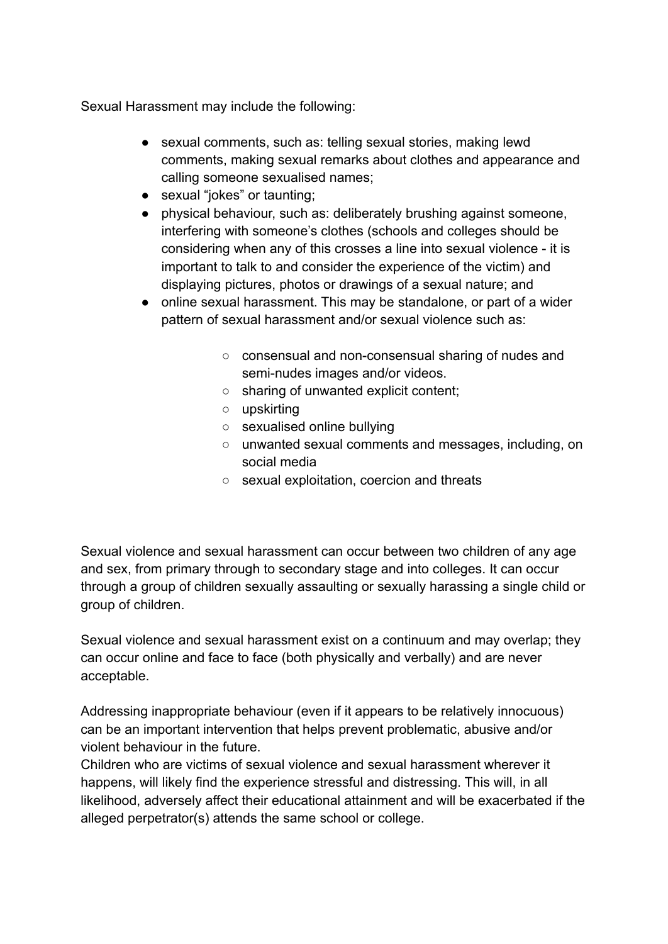Sexual Harassment may include the following:

- sexual comments, such as: telling sexual stories, making lewd comments, making sexual remarks about clothes and appearance and calling someone sexualised names;
- sexual "jokes" or taunting;
- physical behaviour, such as: deliberately brushing against someone, interfering with someone's clothes (schools and colleges should be considering when any of this crosses a line into sexual violence - it is important to talk to and consider the experience of the victim) and displaying pictures, photos or drawings of a sexual nature; and
- online sexual harassment. This may be standalone, or part of a wider pattern of sexual harassment and/or sexual violence such as:
	- consensual and non-consensual sharing of nudes and semi-nudes images and/or videos.
	- sharing of unwanted explicit content;
	- upskirting
	- sexualised online bullying
	- unwanted sexual comments and messages, including, on social media
	- sexual exploitation, coercion and threats

Sexual violence and sexual harassment can occur between two children of any age and sex, from primary through to secondary stage and into colleges. It can occur through a group of children sexually assaulting or sexually harassing a single child or group of children.

Sexual violence and sexual harassment exist on a continuum and may overlap; they can occur online and face to face (both physically and verbally) and are never acceptable.

Addressing inappropriate behaviour (even if it appears to be relatively innocuous) can be an important intervention that helps prevent problematic, abusive and/or violent behaviour in the future.

Children who are victims of sexual violence and sexual harassment wherever it happens, will likely find the experience stressful and distressing. This will, in all likelihood, adversely affect their educational attainment and will be exacerbated if the alleged perpetrator(s) attends the same school or college.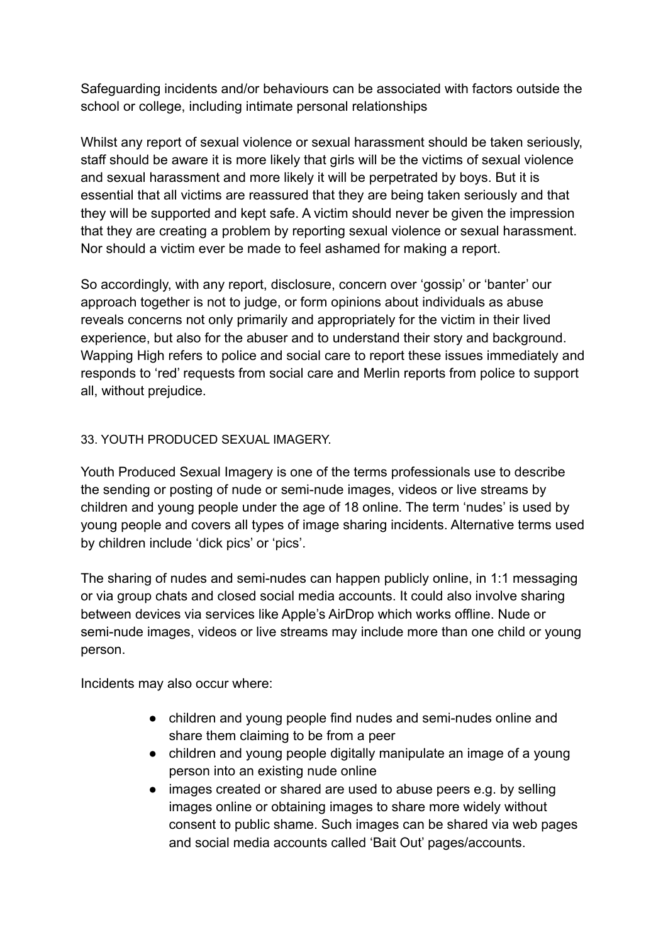Safeguarding incidents and/or behaviours can be associated with factors outside the school or college, including intimate personal relationships

Whilst any report of sexual violence or sexual harassment should be taken seriously, staff should be aware it is more likely that girls will be the victims of sexual violence and sexual harassment and more likely it will be perpetrated by boys. But it is essential that all victims are reassured that they are being taken seriously and that they will be supported and kept safe. A victim should never be given the impression that they are creating a problem by reporting sexual violence or sexual harassment. Nor should a victim ever be made to feel ashamed for making a report.

So accordingly, with any report, disclosure, concern over 'gossip' or 'banter' our approach together is not to judge, or form opinions about individuals as abuse reveals concerns not only primarily and appropriately for the victim in their lived experience, but also for the abuser and to understand their story and background. Wapping High refers to police and social care to report these issues immediately and responds to 'red' requests from social care and Merlin reports from police to support all, without prejudice.

# 33. YOUTH PRODUCED SEXUAL IMAGERY.

Youth Produced Sexual Imagery is one of the terms professionals use to describe the sending or posting of nude or semi-nude images, videos or live streams by children and young people under the age of 18 online. The term 'nudes' is used by young people and covers all types of image sharing incidents. Alternative terms used by children include 'dick pics' or 'pics'.

The sharing of nudes and semi-nudes can happen publicly online, in 1:1 messaging or via group chats and closed social media accounts. It could also involve sharing between devices via services like Apple's AirDrop which works offline. Nude or semi-nude images, videos or live streams may include more than one child or young person.

Incidents may also occur where:

- children and young people find nudes and semi-nudes online and share them claiming to be from a peer
- children and young people digitally manipulate an image of a young person into an existing nude online
- images created or shared are used to abuse peers e.g. by selling images online or obtaining images to share more widely without consent to public shame. Such images can be shared via web pages and social media accounts called 'Bait Out' pages/accounts.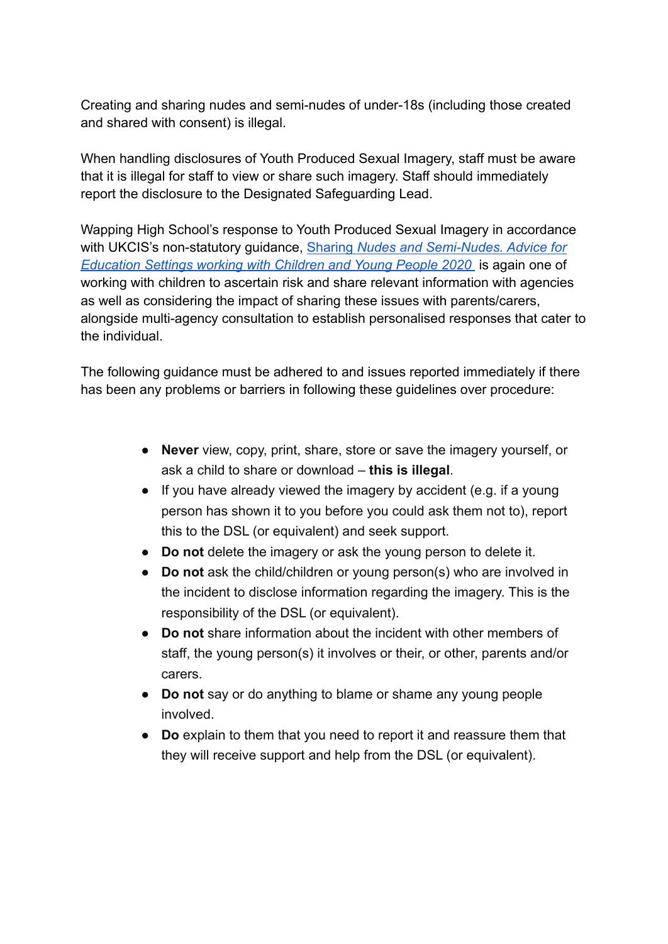Creating and sharing nudes and semi-nudes of under-18s (including those created and shared with consent) is illegal.

When handling disclosures of Youth Produced Sexual Imagery, staff must be aware that it is illegal for staff to view or share such imagery. Staff should immediately report the disclosure to the Designated Safeguarding Lead.

Wapping High School's response to Youth Produced Sexual Imagery in accordance with UKCIS's non-statutory guidance, Sharing *Nudes [and Semi-Nudes. Advice for](https://www.gov.uk/government/publications/sharing-nudes-and-semi-nudes-advice-for-education-settings-working-with-children-and-young-people) [Education Settings working with Children and Young People 2020](https://www.gov.uk/government/publications/sharing-nudes-and-semi-nudes-advice-for-education-settings-working-with-children-and-young-people)* is again one of working with children to ascertain risk and share relevant information with agencies as well as considering the impact of sharing these issues with parents/carers, alongside multi-agency consultation to establish personalised responses that cater to the individual.

The following guidance must be adhered to and issues reported immediately if there has been any problems or barriers in following these guidelines over procedure:

- **Never** view, copy, print, share, store or save the imagery yourself, or ask a child to share or download – **this is illegal**.
- If you have already viewed the imagery by accident (e.g. if a young person has shown it to you before you could ask them not to), report this to the DSL (or equivalent) and seek support.
- **Do not** delete the imagery or ask the young person to delete it.
- **Do not** ask the child/children or young person(s) who are involved in the incident to disclose information regarding the imagery. This is the responsibility of the DSL (or equivalent).
- **Do not** share information about the incident with other members of staff, the young person(s) it involves or their, or other, parents and/or carers.
- **Do not** say or do anything to blame or shame any young people involved.
- **Do** explain to them that you need to report it and reassure them that they will receive support and help from the DSL (or equivalent).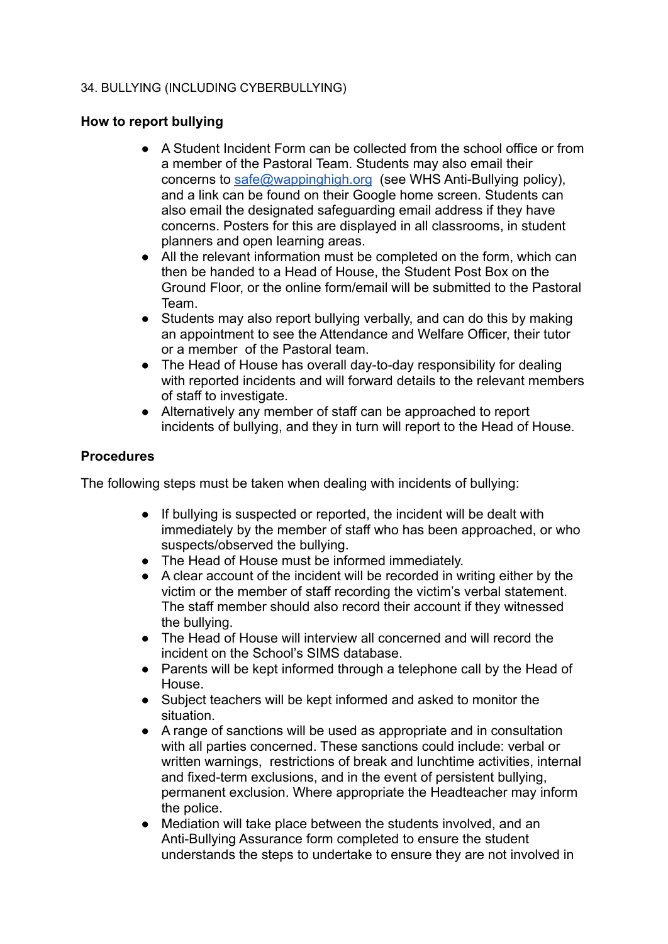#### 34. BULLYING (INCLUDING CYBERBULLYING)

# **How to report bullying**

- A Student Incident Form can be collected from the school office or from a member of the Pastoral Team. Students may also email their concerns to [safe@wappinghigh.org](mailto:safe@wappinghigh.org) (see WHS Anti-Bullying policy), and a link can be found on their Google home screen. Students can also email the designated safeguarding email address if they have concerns. Posters for this are displayed in all classrooms, in student planners and open learning areas.
- All the relevant information must be completed on the form, which can then be handed to a Head of House, the Student Post Box on the Ground Floor, or the online form/email will be submitted to the Pastoral Team.
- Students may also report bullying verbally, and can do this by making an appointment to see the Attendance and Welfare Officer, their tutor or a member of the Pastoral team.
- The Head of House has overall day-to-day responsibility for dealing with reported incidents and will forward details to the relevant members of staff to investigate.
- Alternatively any member of staff can be approached to report incidents of bullying, and they in turn will report to the Head of House.

# **Procedures**

The following steps must be taken when dealing with incidents of bullying:

- If bullying is suspected or reported, the incident will be dealt with immediately by the member of staff who has been approached, or who suspects/observed the bullying.
- The Head of House must be informed immediately.
- A clear account of the incident will be recorded in writing either by the victim or the member of staff recording the victim's verbal statement. The staff member should also record their account if they witnessed the bullying.
- The Head of House will interview all concerned and will record the incident on the School's SIMS database.
- Parents will be kept informed through a telephone call by the Head of House.
- Subject teachers will be kept informed and asked to monitor the situation.
- A range of sanctions will be used as appropriate and in consultation with all parties concerned. These sanctions could include: verbal or written warnings, restrictions of break and lunchtime activities, internal and fixed-term exclusions, and in the event of persistent bullying, permanent exclusion. Where appropriate the Headteacher may inform the police.
- Mediation will take place between the students involved, and an Anti-Bullying Assurance form completed to ensure the student understands the steps to undertake to ensure they are not involved in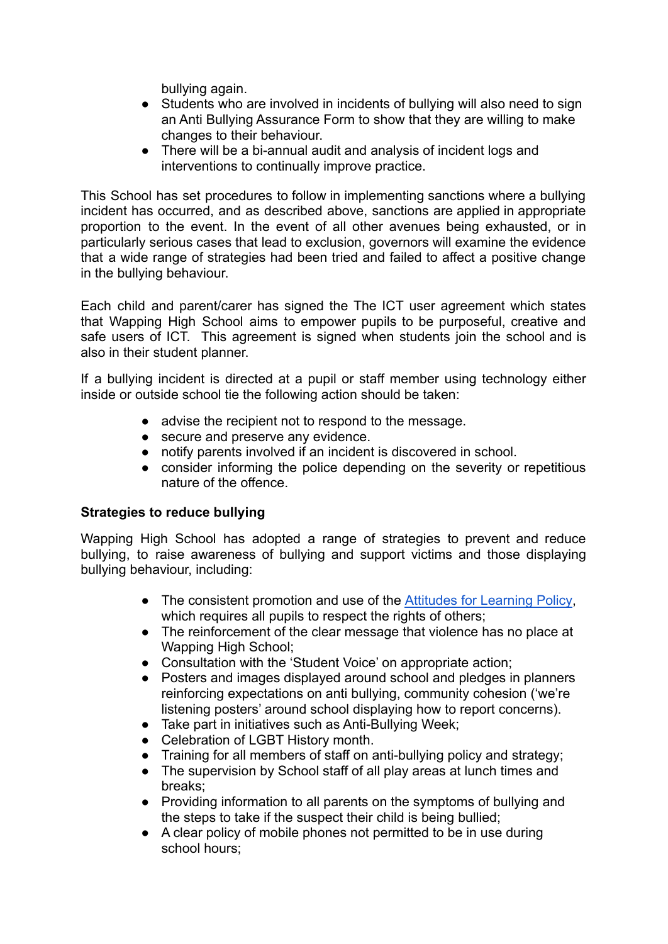bullying again.

- Students who are involved in incidents of bullying will also need to sign an Anti Bullying Assurance Form to show that they are willing to make changes to their behaviour.
- There will be a bi-annual audit and analysis of incident logs and interventions to continually improve practice.

This School has set procedures to follow in implementing sanctions where a bullying incident has occurred, and as described above, sanctions are applied in appropriate proportion to the event. In the event of all other avenues being exhausted, or in particularly serious cases that lead to exclusion, governors will examine the evidence that a wide range of strategies had been tried and failed to affect a positive change in the bullying behaviour.

Each child and parent/carer has signed the The ICT user agreement which states that Wapping High School aims to empower pupils to be purposeful, creative and safe users of ICT. This agreement is signed when students join the school and is also in their student planner.

If a bullying incident is directed at a pupil or staff member using technology either inside or outside school tie the following action should be taken:

- advise the recipient not to respond to the message.
- secure and preserve any evidence.
- notify parents involved if an incident is discovered in school.
- consider informing the police depending on the severity or repetitious nature of the offence.

#### **Strategies to reduce bullying**

Wapping High School has adopted a range of strategies to prevent and reduce bullying, to raise awareness of bullying and support victims and those displaying bullying behaviour, including:

- The consistent promotion and use of the Attitudes [for Learning Policy,](https://docs.google.com/document/d/172ay-0UarROc4tKVG0nVx7PJYiDdpu-bJGd4yhJDaUA/edit) which requires all pupils to respect the rights of others;
- The reinforcement of the clear message that violence has no place at Wapping High School;
- Consultation with the 'Student Voice' on appropriate action;
- Posters and images displayed around school and pledges in planners reinforcing expectations on anti bullying, community cohesion ('we're listening posters' around school displaying how to report concerns).
- Take part in initiatives such as Anti-Bullying Week;
- Celebration of LGBT History month.
- Training for all members of staff on anti-bullying policy and strategy;
- The supervision by School staff of all play areas at lunch times and breaks;
- Providing information to all parents on the symptoms of bullying and the steps to take if the suspect their child is being bullied;
- A clear policy of mobile phones not permitted to be in use during school hours;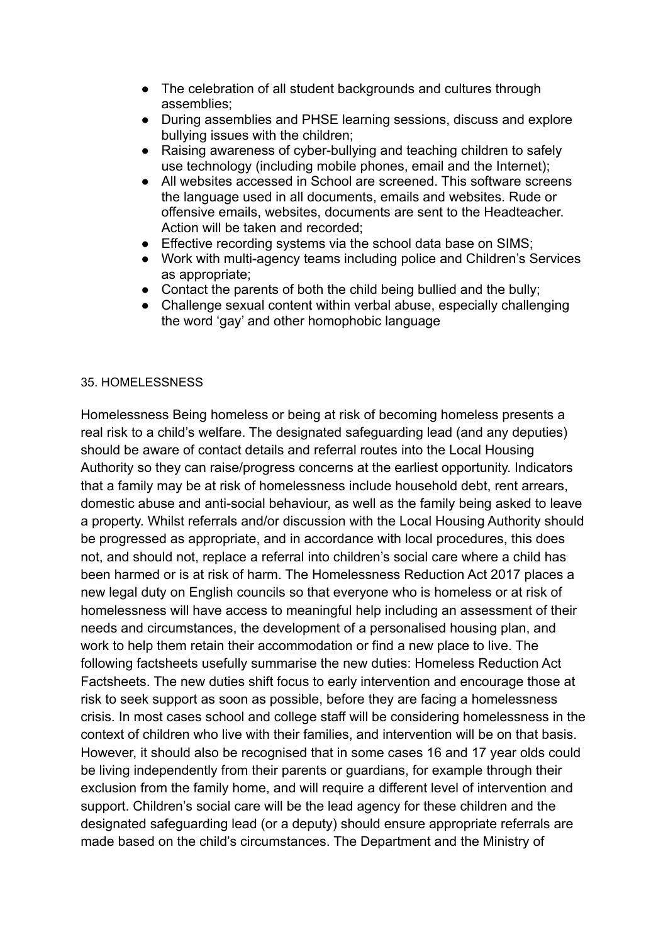- The celebration of all student backgrounds and cultures through assemblies;
- During assemblies and PHSE learning sessions, discuss and explore bullying issues with the children;
- Raising awareness of cyber-bullying and teaching children to safely use technology (including mobile phones, email and the Internet);
- All websites accessed in School are screened. This software screens the language used in all documents, emails and websites. Rude or offensive emails, websites, documents are sent to the Headteacher. Action will be taken and recorded;
- Effective recording systems via the school data base on SIMS;
- Work with multi-agency teams including police and Children's Services as appropriate;
- Contact the parents of both the child being bullied and the bully:
- Challenge sexual content within verbal abuse, especially challenging the word 'gay' and other homophobic language

# 35. HOMELESSNESS

Homelessness Being homeless or being at risk of becoming homeless presents a real risk to a child's welfare. The designated safeguarding lead (and any deputies) should be aware of contact details and referral routes into the Local Housing Authority so they can raise/progress concerns at the earliest opportunity. Indicators that a family may be at risk of homelessness include household debt, rent arrears, domestic abuse and anti-social behaviour, as well as the family being asked to leave a property. Whilst referrals and/or discussion with the Local Housing Authority should be progressed as appropriate, and in accordance with local procedures, this does not, and should not, replace a referral into children's social care where a child has been harmed or is at risk of harm. The Homelessness Reduction Act 2017 places a new legal duty on English councils so that everyone who is homeless or at risk of homelessness will have access to meaningful help including an assessment of their needs and circumstances, the development of a personalised housing plan, and work to help them retain their accommodation or find a new place to live. The following factsheets usefully summarise the new duties: Homeless Reduction Act Factsheets. The new duties shift focus to early intervention and encourage those at risk to seek support as soon as possible, before they are facing a homelessness crisis. In most cases school and college staff will be considering homelessness in the context of children who live with their families, and intervention will be on that basis. However, it should also be recognised that in some cases 16 and 17 year olds could be living independently from their parents or guardians, for example through their exclusion from the family home, and will require a different level of intervention and support. Children's social care will be the lead agency for these children and the designated safeguarding lead (or a deputy) should ensure appropriate referrals are made based on the child's circumstances. The Department and the Ministry of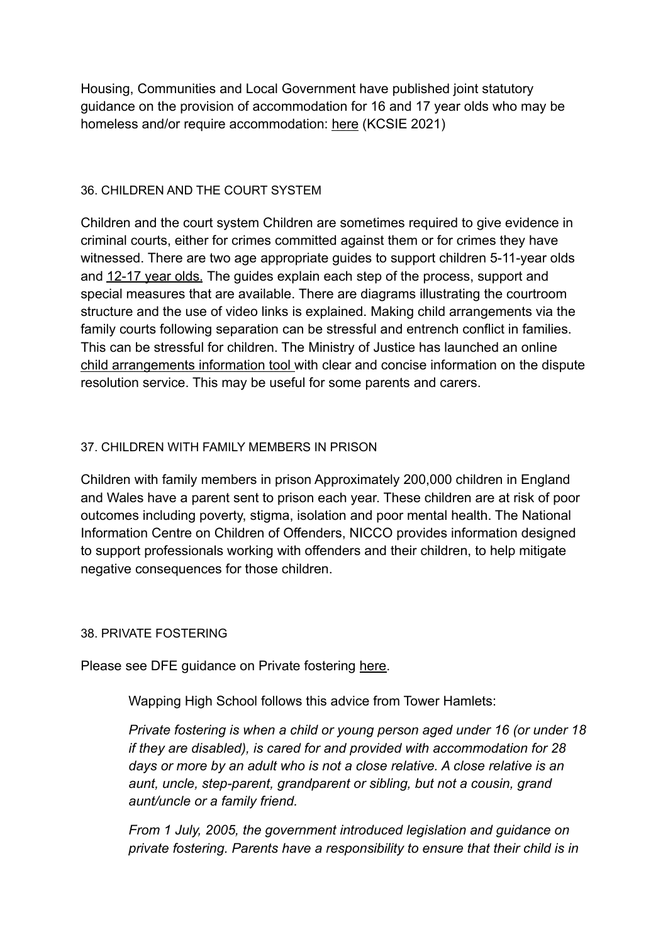Housing, Communities and Local Government have published joint statutory guidance on the provision of accommodation for 16 and 17 year olds who may be homeless and/or require accommodation: [here](https://www.gov.uk/government/publications/homelessness-reduction-bill-policy-factsheets) (KCSIE 2021)

### 36. CHILDREN AND THE COURT SYSTEM

Children and the court system Children are sometimes required to give evidence in criminal courts, either for crimes committed against them or for crimes they have witnessed. There are two age appropriate guides to support children 5-11-year olds and [12-17 year olds.](https://www.gov.uk/government/publications/young-witness-booklet-for-12-to-17-year-olds) The guides explain each step of the process, support and special measures that are available. There are diagrams illustrating the courtroom structure and the use of video links is explained. Making child arrangements via the family courts following separation can be stressful and entrench conflict in families. This can be stressful for children. The Ministry of Justice has launched an online [child arrangements information tool](https://helpwithchildarrangements.service.justice.gov.uk/) with clear and concise information on the dispute resolution service. This may be useful for some parents and carers.

### 37. CHILDREN WITH FAMILY MEMBERS IN PRISON

Children with family members in prison Approximately 200,000 children in England and Wales have a parent sent to prison each year. These children are at risk of poor outcomes including poverty, stigma, isolation and poor mental health. The National Information Centre on Children of Offenders, NICCO provides information designed to support professionals working with offenders and their children, to help mitigate negative consequences for those children.

#### 38. PRIVATE FOSTERING

Please see DFE guidance on Private fostering [here.](https://www.gov.uk/government/publications/children-act-1989-private-fostering)

Wapping High School follows this advice from Tower Hamlets:

*Private fostering is when a child or young person aged under 16 (or under 18 if they are disabled), is cared for and provided with accommodation for 28 days or more by an adult who is not a close relative. A close relative is an aunt, uncle, step-parent, grandparent or sibling, but not a cousin, grand aunt/uncle or a family friend.*

*From 1 July, 2005, the government introduced legislation and guidance on private fostering. Parents have a responsibility to ensure that their child is in*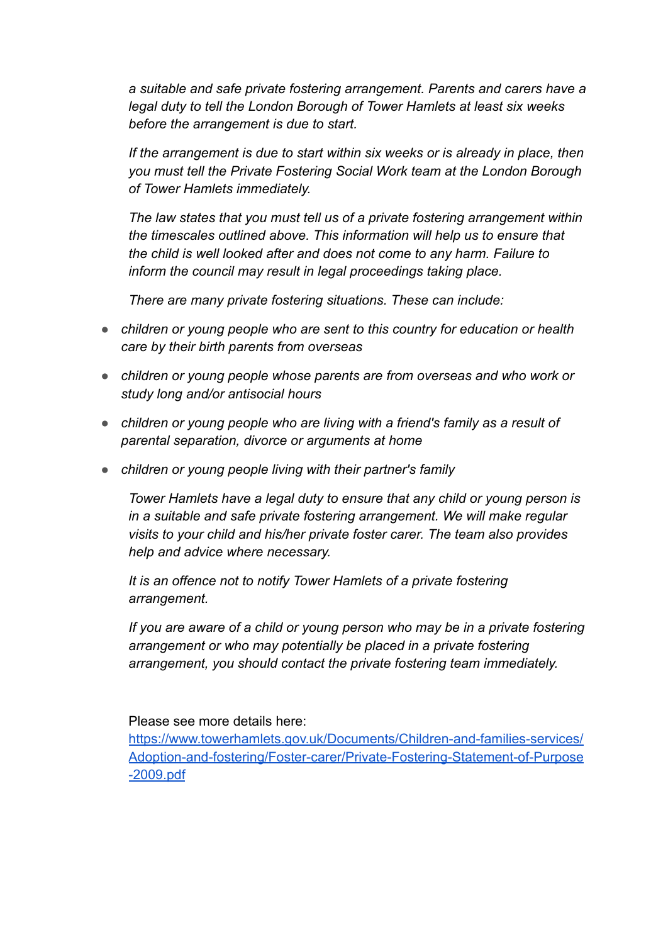*a suitable and safe private fostering arrangement. Parents and carers have a legal duty to tell the London Borough of Tower Hamlets at least six weeks before the arrangement is due to start.*

*If the arrangement is due to start within six weeks or is already in place, then you must tell the Private Fostering Social Work team at the London Borough of Tower Hamlets immediately.*

*The law states that you must tell us of a private fostering arrangement within the timescales outlined above. This information will help us to ensure that the child is well looked after and does not come to any harm. Failure to inform the council may result in legal proceedings taking place.*

*There are many private fostering situations. These can include:*

- *● children or young people who are sent to this country for education or health care by their birth parents from overseas*
- *● children or young people whose parents are from overseas and who work or study long and/or antisocial hours*
- *● children or young people who are living with a friend's family as a result of parental separation, divorce or arguments at home*
- *● children or young people living with their partner's family*

*Tower Hamlets have a legal duty to ensure that any child or young person is in a suitable and safe private fostering arrangement. We will make regular visits to your child and his/her private foster carer. The team also provides help and advice where necessary.*

*It is an offence not to notify Tower Hamlets of a private fostering arrangement.*

*If you are aware of a child or young person who may be in a private fostering arrangement or who may potentially be placed in a private fostering arrangement, you should contact the private fostering team immediately.*

Please see more details here:

[https://www.towerhamlets.gov.uk/Documents/Children-and-families-services/](https://www.towerhamlets.gov.uk/Documents/Children-and-families-services/Adoption-and-fostering/Foster-carer/Private-Fostering-Statement-of-Purpose-2009.pdf) [Adoption-and-fostering/Foster-carer/Private-Fostering-Statement-of-Purpose](https://www.towerhamlets.gov.uk/Documents/Children-and-families-services/Adoption-and-fostering/Foster-carer/Private-Fostering-Statement-of-Purpose-2009.pdf) [-2009.pdf](https://www.towerhamlets.gov.uk/Documents/Children-and-families-services/Adoption-and-fostering/Foster-carer/Private-Fostering-Statement-of-Purpose-2009.pdf)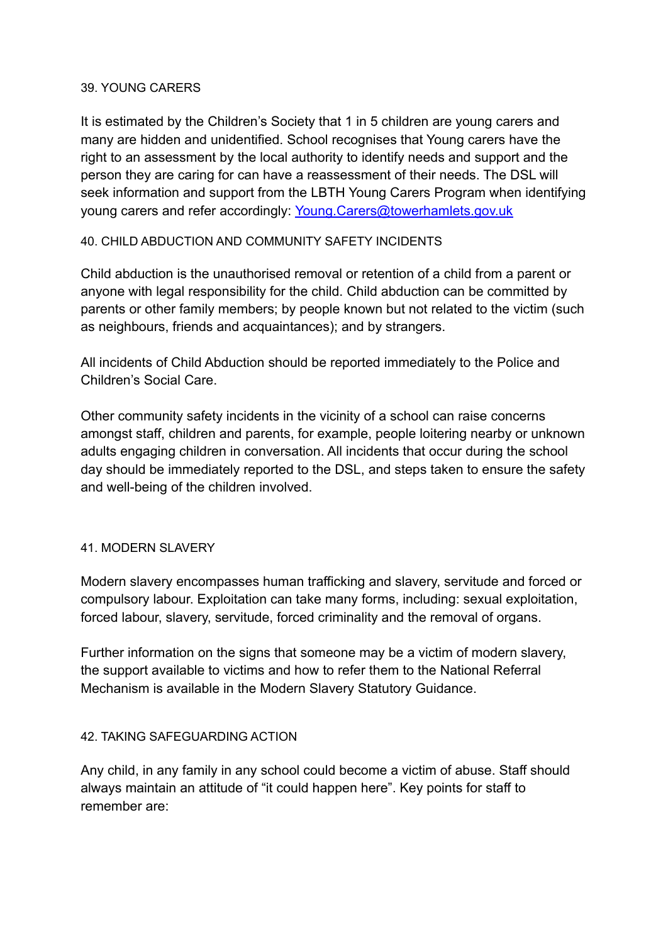#### 39. YOUNG CARERS

It is estimated by the Children's Society that 1 in 5 children are young carers and many are hidden and unidentified. School recognises that Young carers have the right to an assessment by the local authority to identify needs and support and the person they are caring for can have a reassessment of their needs. The DSL will seek information and support from the LBTH Young Carers Program when identifying young carers and refer accordingly: [Young.Carers@towerhamlets.gov.uk](mailto:Young.Carers@towerhamlets.gov.uk)

### 40. CHILD ABDUCTION AND COMMUNITY SAFETY INCIDENTS

Child abduction is the unauthorised removal or retention of a child from a parent or anyone with legal responsibility for the child. Child abduction can be committed by parents or other family members; by people known but not related to the victim (such as neighbours, friends and acquaintances); and by strangers.

All incidents of Child Abduction should be reported immediately to the Police and Children's Social Care.

Other community safety incidents in the vicinity of a school can raise concerns amongst staff, children and parents, for example, people loitering nearby or unknown adults engaging children in conversation. All incidents that occur during the school day should be immediately reported to the DSL, and steps taken to ensure the safety and well-being of the children involved.

#### 41 MODERN SLAVERY

Modern slavery encompasses human trafficking and slavery, servitude and forced or compulsory labour. Exploitation can take many forms, including: sexual exploitation, forced labour, slavery, servitude, forced criminality and the removal of organs.

Further information on the signs that someone may be a victim of modern slavery, the support available to victims and how to refer them to the National Referral Mechanism is available in the Modern Slavery Statutory Guidance.

# 42. TAKING SAFEGUARDING ACTION

Any child, in any family in any school could become a victim of abuse. Staff should always maintain an attitude of "it could happen here". Key points for staff to remember are: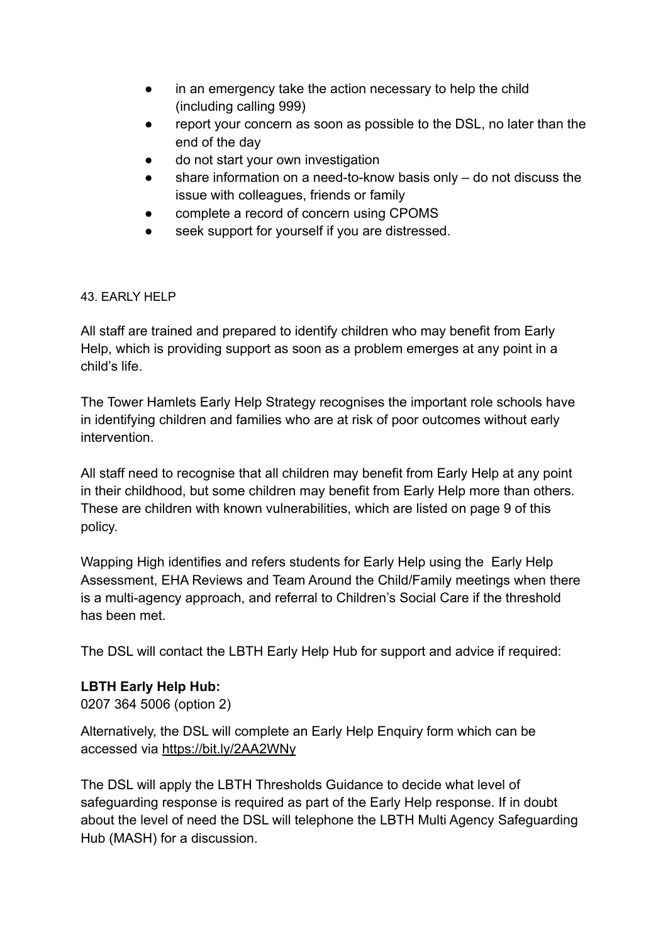- in an emergency take the action necessary to help the child (including calling 999)
- report your concern as soon as possible to the DSL, no later than the end of the day
- do not start your own investigation
- share information on a need-to-know basis only do not discuss the issue with colleagues, friends or family
- complete a record of concern using CPOMS
- seek support for yourself if you are distressed.

# 43. EARLY HELP

All staff are trained and prepared to identify children who may benefit from Early Help, which is providing support as soon as a problem emerges at any point in a child's life.

The Tower Hamlets Early Help Strategy recognises the important role schools have in identifying children and families who are at risk of poor outcomes without early intervention.

All staff need to recognise that all children may benefit from Early Help at any point in their childhood, but some children may benefit from Early Help more than others. These are children with known vulnerabilities, which are listed on page 9 of this policy.

Wapping High identifies and refers students for Early Help using the Early Help Assessment, EHA Reviews and Team Around the Child/Family meetings when there is a multi-agency approach, and referral to Children's Social Care if the threshold has been met.

The DSL will contact the LBTH Early Help Hub for support and advice if required:

# **LBTH Early Help Hub:**

0207 364 5006 (option 2)

Alternatively, the DSL will complete an Early Help Enquiry form which can be accessed via <https://bit.ly/2AA2WNy>

The DSL will apply the LBTH Thresholds Guidance to decide what level of safeguarding response is required as part of the Early Help response. If in doubt about the level of need the DSL will telephone the LBTH Multi Agency Safeguarding Hub (MASH) for a discussion.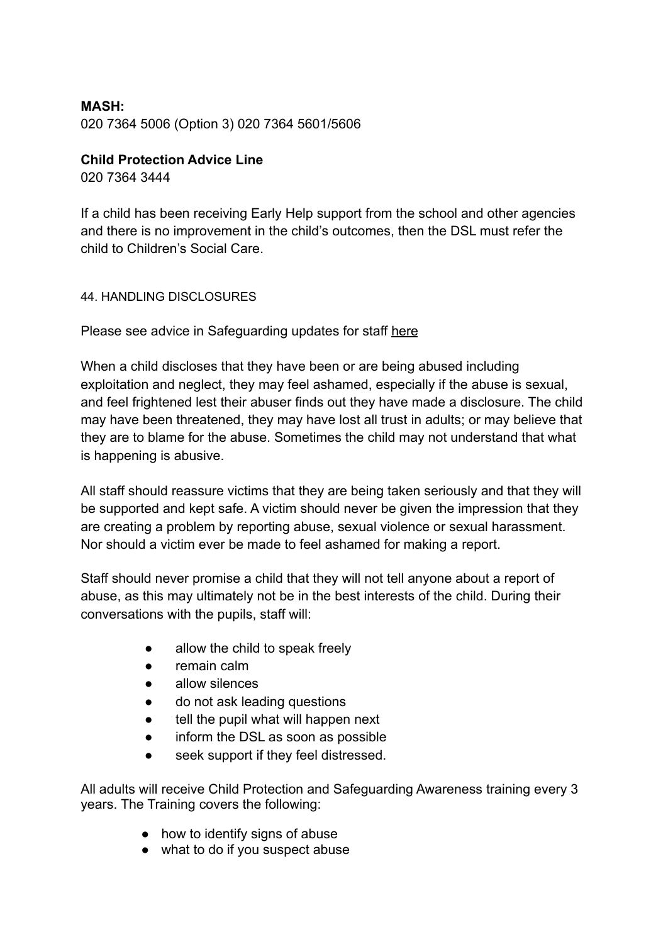# **MASH:**

020 7364 5006 (Option 3) 020 7364 5601/5606

# **Child Protection Advice Line**

020 7364 3444

If a child has been receiving Early Help support from the school and other agencies and there is no improvement in the child's outcomes, then the DSL must refer the child to Children's Social Care.

# 44. HANDLING DISCLOSURES

Please see advice in Safeguarding updates for staff [here](https://docs.google.com/presentation/d/19Nc_UYIQ63t3t-c6NdPZNPds_vYmz7nNu4iv4rs_z8Q/edit#slide=id.ge882197c08_0_887)

When a child discloses that they have been or are being abused including exploitation and neglect, they may feel ashamed, especially if the abuse is sexual, and feel frightened lest their abuser finds out they have made a disclosure. The child may have been threatened, they may have lost all trust in adults; or may believe that they are to blame for the abuse. Sometimes the child may not understand that what is happening is abusive.

All staff should reassure victims that they are being taken seriously and that they will be supported and kept safe. A victim should never be given the impression that they are creating a problem by reporting abuse, sexual violence or sexual harassment. Nor should a victim ever be made to feel ashamed for making a report.

Staff should never promise a child that they will not tell anyone about a report of abuse, as this may ultimately not be in the best interests of the child. During their conversations with the pupils, staff will:

- allow the child to speak freely
- remain calm
- allow silences
- do not ask leading questions
- tell the pupil what will happen next
- inform the DSL as soon as possible
- seek support if they feel distressed.

All adults will receive Child Protection and Safeguarding Awareness training every 3 years. The Training covers the following:

- how to identify signs of abuse
- what to do if you suspect abuse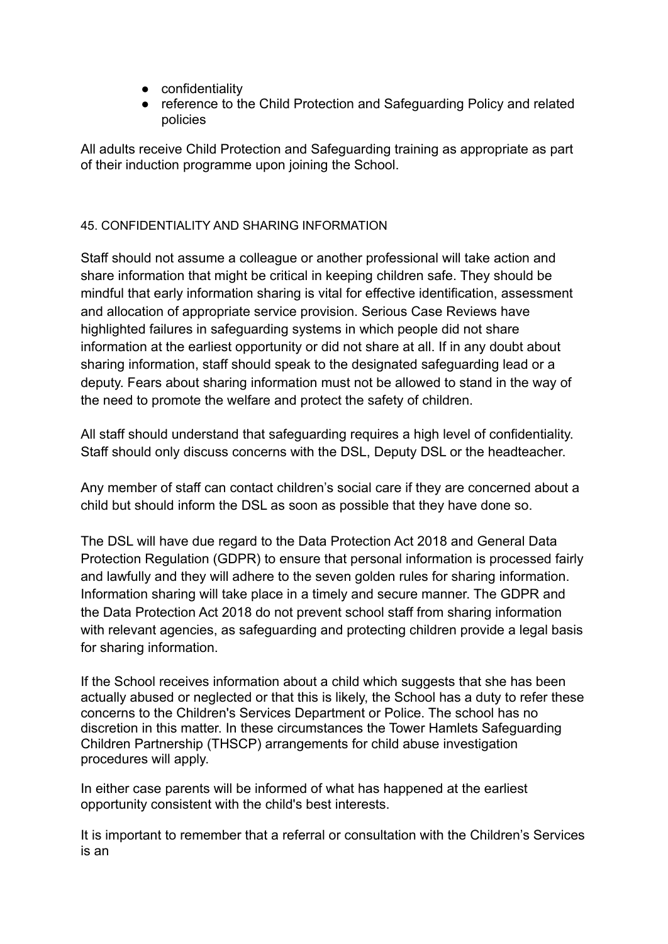- confidentiality
- reference to the Child Protection and Safeguarding Policy and related policies

All adults receive Child Protection and Safeguarding training as appropriate as part of their induction programme upon joining the School.

### 45. CONFIDENTIALITY AND SHARING INFORMATION

Staff should not assume a colleague or another professional will take action and share information that might be critical in keeping children safe. They should be mindful that early information sharing is vital for effective identification, assessment and allocation of appropriate service provision. Serious Case Reviews have highlighted failures in safeguarding systems in which people did not share information at the earliest opportunity or did not share at all. If in any doubt about sharing information, staff should speak to the designated safeguarding lead or a deputy. Fears about sharing information must not be allowed to stand in the way of the need to promote the welfare and protect the safety of children.

All staff should understand that safeguarding requires a high level of confidentiality. Staff should only discuss concerns with the DSL, Deputy DSL or the headteacher.

Any member of staff can contact children's social care if they are concerned about a child but should inform the DSL as soon as possible that they have done so.

The DSL will have due regard to the Data Protection Act 2018 and General Data Protection Regulation (GDPR) to ensure that personal information is processed fairly and lawfully and they will adhere to the seven golden rules for sharing information. Information sharing will take place in a timely and secure manner. The GDPR and the Data Protection Act 2018 do not prevent school staff from sharing information with relevant agencies, as safeguarding and protecting children provide a legal basis for sharing information.

If the School receives information about a child which suggests that she has been actually abused or neglected or that this is likely, the School has a duty to refer these concerns to the Children's Services Department or Police. The school has no discretion in this matter. In these circumstances the Tower Hamlets Safeguarding Children Partnership (THSCP) arrangements for child abuse investigation procedures will apply.

In either case parents will be informed of what has happened at the earliest opportunity consistent with the child's best interests.

It is important to remember that a referral or consultation with the Children's Services is an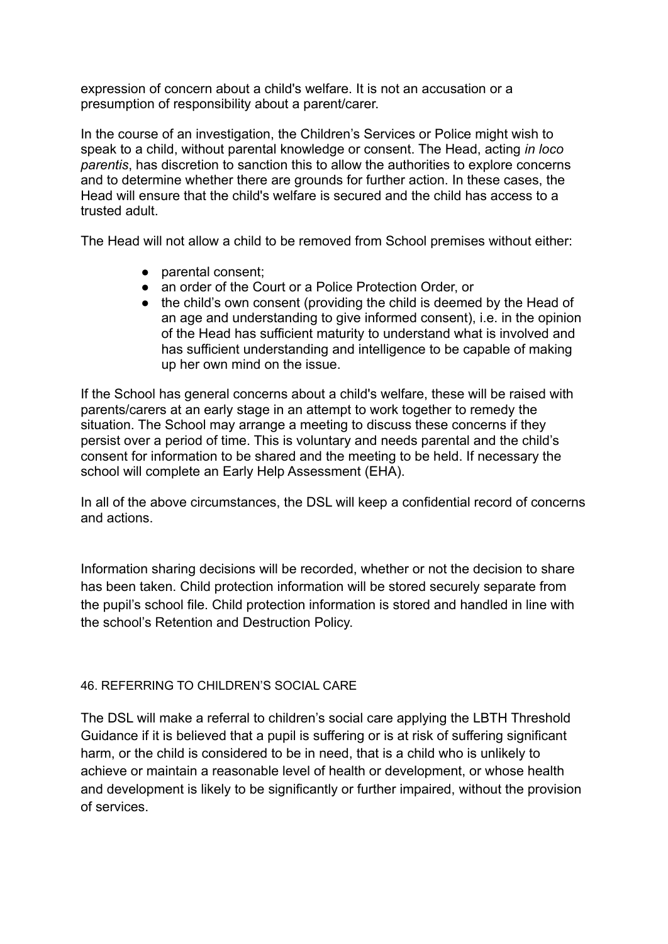expression of concern about a child's welfare. It is not an accusation or a presumption of responsibility about a parent/carer.

In the course of an investigation, the Children's Services or Police might wish to speak to a child, without parental knowledge or consent. The Head, acting *in loco parentis*, has discretion to sanction this to allow the authorities to explore concerns and to determine whether there are grounds for further action. In these cases, the Head will ensure that the child's welfare is secured and the child has access to a trusted adult.

The Head will not allow a child to be removed from School premises without either:

- parental consent;
- an order of the Court or a Police Protection Order, or
- the child's own consent (providing the child is deemed by the Head of an age and understanding to give informed consent), i.e. in the opinion of the Head has sufficient maturity to understand what is involved and has sufficient understanding and intelligence to be capable of making up her own mind on the issue.

If the School has general concerns about a child's welfare, these will be raised with parents/carers at an early stage in an attempt to work together to remedy the situation. The School may arrange a meeting to discuss these concerns if they persist over a period of time. This is voluntary and needs parental and the child's consent for information to be shared and the meeting to be held. If necessary the school will complete an Early Help Assessment (EHA).

In all of the above circumstances, the DSL will keep a confidential record of concerns and actions.

Information sharing decisions will be recorded, whether or not the decision to share has been taken. Child protection information will be stored securely separate from the pupil's school file. Child protection information is stored and handled in line with the school's Retention and Destruction Policy.

#### 46. REFERRING TO CHILDREN'S SOCIAL CARE

The DSL will make a referral to children's social care applying the LBTH Threshold Guidance if it is believed that a pupil is suffering or is at risk of suffering significant harm, or the child is considered to be in need, that is a child who is unlikely to achieve or maintain a reasonable level of health or development, or whose health and development is likely to be significantly or further impaired, without the provision of services.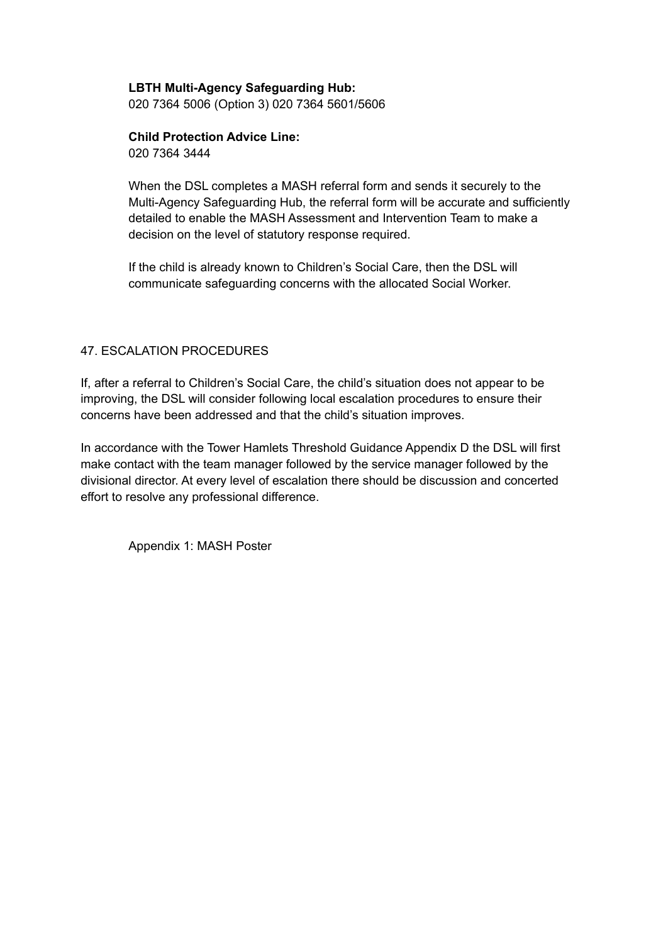#### **LBTH Multi-Agency Safeguarding Hub:**

020 7364 5006 (Option 3) 020 7364 5601/5606

# **Child Protection Advice Line:**

020 7364 3444

When the DSL completes a MASH referral form and sends it securely to the Multi-Agency Safeguarding Hub, the referral form will be accurate and sufficiently detailed to enable the MASH Assessment and Intervention Team to make a decision on the level of statutory response required.

If the child is already known to Children's Social Care, then the DSL will communicate safeguarding concerns with the allocated Social Worker.

#### 47. ESCALATION PROCEDURES

If, after a referral to Children's Social Care, the child's situation does not appear to be improving, the DSL will consider following local escalation procedures to ensure their concerns have been addressed and that the child's situation improves.

In accordance with the Tower Hamlets Threshold Guidance Appendix D the DSL will first make contact with the team manager followed by the service manager followed by the divisional director. At every level of escalation there should be discussion and concerted effort to resolve any professional difference.

Appendix 1: MASH Poster